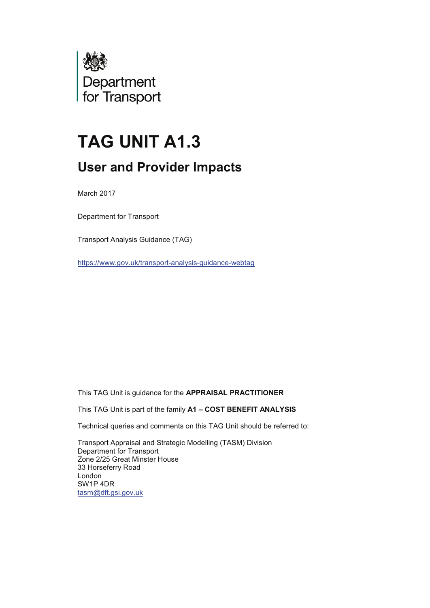

# **TAG UNIT A1.3**

## **User and Provider Impacts**

March 2017

Department for Transport

Transport Analysis Guidance (TAG)

https://www.gov.uk/transport-analysis-guidance-webtag

This TAG Unit is guidance for the **APPRAISAL PRACTITIONER** 

This TAG Unit is part of the family A1 - COST BENEFIT ANALYSIS

Technical queries and comments on this TAG Unit should be referred to:

Transport Appraisal and Strategic Modelling (TASM) Division Department for Transport Zone 2/25 Great Minster House 33 Horseferry Road London SW1P 4DR tasm@dft.gsi.gov.uk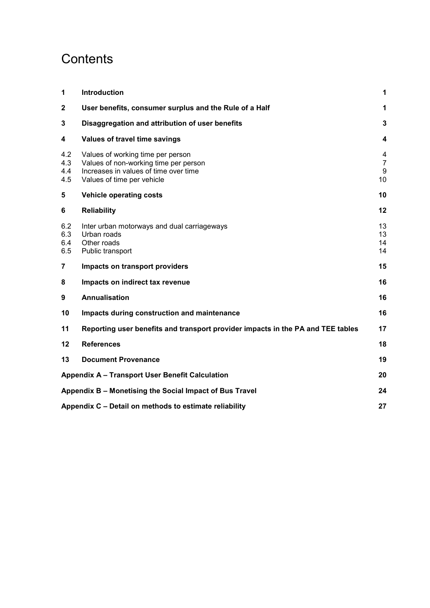## **Contents**

| 1                        | <b>Introduction</b>                                                                                                                               | 1                              |
|--------------------------|---------------------------------------------------------------------------------------------------------------------------------------------------|--------------------------------|
| $\overline{2}$           | User benefits, consumer surplus and the Rule of a Half                                                                                            | 1                              |
| 3                        | Disaggregation and attribution of user benefits                                                                                                   | 3                              |
| 4                        | Values of travel time savings                                                                                                                     | $\boldsymbol{4}$               |
| 4.2<br>4.3<br>4.4<br>4.5 | Values of working time per person<br>Values of non-working time per person<br>Increases in values of time over time<br>Values of time per vehicle | 4<br>$\overline{7}$<br>9<br>10 |
| 5                        | <b>Vehicle operating costs</b>                                                                                                                    | 10                             |
| 6                        | <b>Reliability</b>                                                                                                                                | 12                             |
| 6.2<br>6.3<br>6.4<br>6.5 | Inter urban motorways and dual carriageways<br>Urban roads<br>Other roads<br>Public transport                                                     | 13<br>13<br>14<br>14           |
| 7                        | Impacts on transport providers                                                                                                                    | 15                             |
| 8                        | Impacts on indirect tax revenue                                                                                                                   | 16                             |
| 9                        | <b>Annualisation</b>                                                                                                                              | 16                             |
| 10                       | Impacts during construction and maintenance                                                                                                       | 16                             |
| 11                       | Reporting user benefits and transport provider impacts in the PA and TEE tables                                                                   | 17                             |
| 12                       | <b>References</b>                                                                                                                                 | 18                             |
| 13                       | <b>Document Provenance</b>                                                                                                                        | 19                             |
|                          | Appendix A - Transport User Benefit Calculation                                                                                                   | 20                             |
|                          | Appendix B - Monetising the Social Impact of Bus Travel                                                                                           | 24                             |
|                          | Appendix C - Detail on methods to estimate reliability                                                                                            | 27                             |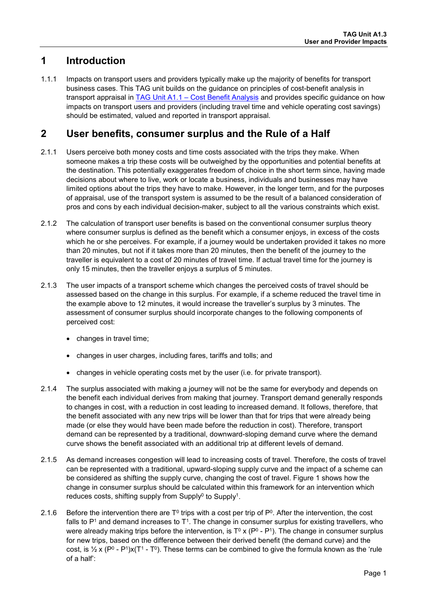## <span id="page-2-0"></span>**1 Introduction**

1.1.1 Impacts on transport users and providers typically make up the majority of benefits for transport business cases. This TAG unit builds on the guidance on principles of cost-benefit analysis in transport appraisal in [TAG Unit A1.1 – Cost](https://www.gov.uk/transport-analysis-guidance-webtag#a1-cost-benefit-analysis) Benefit Analysis and provides specific guidance on how impacts on transport users and providers (including travel time and vehicle operating cost savings) should be estimated, valued and reported in transport appraisal.

## <span id="page-2-1"></span>**2 User benefits, consumer surplus and the Rule of a Half**

- 2.1.1 Users perceive both money costs and time costs associated with the trips they make. When someone makes a trip these costs will be outweighed by the opportunities and potential benefits at the destination. This potentially exaggerates freedom of choice in the short term since, having made decisions about where to live, work or locate a business, individuals and businesses may have limited options about the trips they have to make. However, in the longer term, and for the purposes of appraisal, use of the transport system is assumed to be the result of a balanced consideration of pros and cons by each individual decision-maker, subject to all the various constraints which exist.
- 2.1.2 The calculation of transport user benefits is based on the conventional consumer surplus theory where consumer surplus is defined as the benefit which a consumer enjoys, in excess of the costs which he or she perceives. For example, if a journey would be undertaken provided it takes no more than 20 minutes, but not if it takes more than 20 minutes, then the benefit of the journey to the traveller is equivalent to a cost of 20 minutes of travel time. If actual travel time for the journey is only 15 minutes, then the traveller enjoys a surplus of 5 minutes.
- 2.1.3 The user impacts of a transport scheme which changes the perceived costs of travel should be assessed based on the change in this surplus. For example, if a scheme reduced the travel time in the example above to 12 minutes, it would increase the traveller's surplus by 3 minutes. The assessment of consumer surplus should incorporate changes to the following components of perceived cost:
	- changes in travel time:
	- changes in user charges, including fares, tariffs and tolls; and
	- changes in vehicle operating costs met by the user (i.e. for private transport).
- 2.1.4 The surplus associated with making a journey will not be the same for everybody and depends on the benefit each individual derives from making that journey. Transport demand generally responds to changes in cost, with a reduction in cost leading to increased demand. It follows, therefore, that the benefit associated with any new trips will be lower than that for trips that were already being made (or else they would have been made before the reduction in cost). Therefore, transport demand can be represented by a traditional, downward-sloping demand curve where the demand curve shows the benefit associated with an additional trip at different levels of demand.
- 2.1.5 As demand increases congestion will lead to increasing costs of travel. Therefore, the costs of travel can be represented with a traditional, upward-sloping supply curve and the impact of a scheme can be considered as shifting the supply curve, changing the cost of travel. [Figure 1](#page-3-0) shows how the change in consumer surplus should be calculated within this framework for an intervention which reduces costs, shifting supply from Supply<sup>0</sup> to Supply<sup>1</sup>.
- <span id="page-2-2"></span>2.1.6 Before the intervention there are  $T^0$  trips with a cost per trip of  $P^0$ . After the intervention, the cost falls to  $P<sup>1</sup>$  and demand increases to  $T<sup>1</sup>$ . The change in consumer surplus for existing travellers, who were already making trips before the intervention, is  $T^0 \times (P^0 - P^1)$ . The change in consumer surplus for new trips, based on the difference between their derived benefit (the demand curve) and the cost, is  $\frac{1}{2}$  x (P<sup>0</sup> - P<sup>1</sup>)x(T<sup>1</sup> - T<sup>0</sup>). These terms can be combined to give the formula known as the 'rule of a half':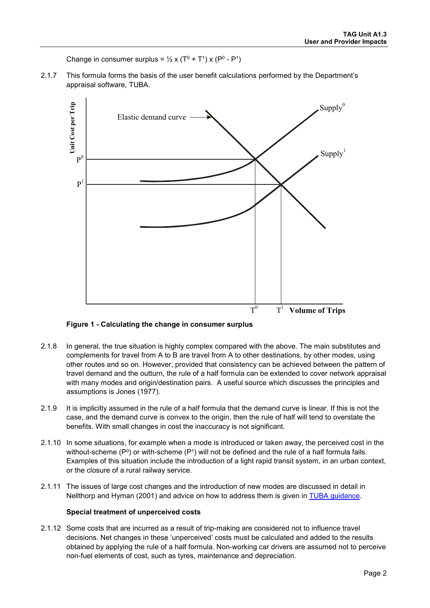Change in consumer surplus =  $\frac{1}{2}$  x (T<sup>0</sup> + T<sup>1</sup>) x (P<sup>0</sup> - P<sup>1</sup>)

2.1.7 This formula forms the basis of the user benefit calculations performed by the Department's appraisal software, TUBA.



**Figure 1 - Calculating the change in consumer surplus**

- <span id="page-3-0"></span>2.1.8 In general, the true situation is highly complex compared with the above. The main substitutes and complements for travel from A to B are travel from A to other destinations, by other modes, using other routes and so on. However, provided that consistency can be achieved between the pattern of travel demand and the outturn, the rule of a half formula can be extended to cover network appraisal with many modes and origin/destination pairs. A useful source which discusses the principles and assumptions is Jones (1977).
- 2.1.9 It is implicitly assumed in the rule of a half formula that the demand curve is linear. If this is not the case, and the demand curve is convex to the origin, then the rule of half will tend to overstate the benefits. With small changes in cost the inaccuracy is not significant.
- 2.1.10 In some situations, for example when a mode is introduced or taken away, the perceived cost in the without-scheme ( $P^0$ ) or with-scheme ( $P^1$ ) will not be defined and the rule of a half formula fails. Examples of this situation include the introduction of a light rapid transit system, in an urban context, or the closure of a rural railway service.
- 2.1.11 The issues of large cost changes and the introduction of new modes are discussed in detail in Nellthorp and Hyman (2001) and advice on how to address them is given in [TUBA guidance.](https://www.gov.uk/government/publications/tuba-downloads-and-user-manuals)

#### **Special treatment of unperceived costs**

2.1.12 Some costs that are incurred as a result of trip-making are considered not to influence travel decisions. Net changes in these 'unperceived' costs must be calculated and added to the results obtained by applying the rule of a half formula. Non-working car drivers are assumed not to perceive non-fuel elements of cost, such as tyres, maintenance and depreciation.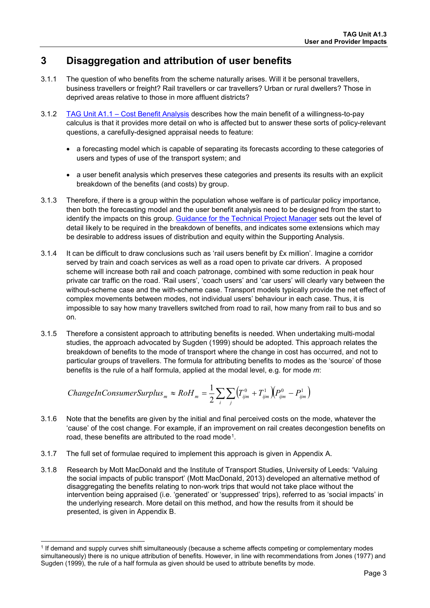## <span id="page-4-0"></span>**3 Disaggregation and attribution of user benefits**

- 3.1.1 The question of who benefits from the scheme naturally arises. Will it be personal travellers, business travellers or freight? Rail travellers or car travellers? Urban or rural dwellers? Those in deprived areas relative to those in more affluent districts?
- 3.1.2 [TAG Unit A1.1 Cost Benefit Analysis](https://www.gov.uk/transport-analysis-guidance-webtag#a1-cost-benefit-analysis) describes how the main benefit of a willingness-to-pay calculus is that it provides more detail on who is affected but to answer these sorts of policy-relevant questions, a carefully-designed appraisal needs to feature:
	- a forecasting model which is capable of separating its forecasts according to these categories of users and types of use of the transport system; and
	- a user benefit analysis which preserves these categories and presents its results with an explicit breakdown of the benefits (and costs) by group.
- 3.1.3 Therefore, if there is a group within the population whose welfare is of particular policy importance, then both the forecasting model and the user benefit analysis need to be designed from the start to identify the impacts on this group. [Guidance for the Technical Project Manager](https://www.gov.uk/transport-analysis-guidance-webtag#guidance-for-the-technical-project-manager-tpm) sets out the level of detail likely to be required in the breakdown of benefits, and indicates some extensions which may be desirable to address issues of distribution and equity within the Supporting Analysis.
- 3.1.4 It can be difficult to draw conclusions such as 'rail users benefit by £x million'. Imagine a corridor served by train and coach services as well as a road open to private car drivers. A proposed scheme will increase both rail and coach patronage, combined with some reduction in peak hour private car traffic on the road. 'Rail users', 'coach users' and 'car users' will clearly vary between the without-scheme case and the with-scheme case. Transport models typically provide the net effect of complex movements between modes, not individual users' behaviour in each case. Thus, it is impossible to say how many travellers switched from road to rail, how many from rail to bus and so on.
- 3.1.5 Therefore a consistent approach to attributing benefits is needed. When undertaking multi-modal studies, the approach advocated by Sugden (1999) should be adopted. This approach relates the breakdown of benefits to the mode of transport where the change in cost has occurred, and not to particular groups of travellers. The formula for attributing benefits to modes as the 'source' of those benefits is the rule of a half formula, applied at the modal level, e.g. for mode *m*:

$$
ChangeInConsumerSurplus_{m} \approx RoH_{m} = \frac{1}{2} \sum_{i} \sum_{j} \left( T_{ijm}^{0} + T_{ijm}^{1} \right) \left( P_{ijm}^{0} - P_{ijm}^{1} \right)
$$

- 3.1.6 Note that the benefits are given by the initial and final perceived costs on the mode, whatever the 'cause' of the cost change. For example, if an improvement on rail creates decongestion benefits on road, these benefits are attributed to the road mode<sup>[1](#page-4-1)</sup>.
- 3.1.7 The full set of formulae required to implement this approach is given in [Appendix A.](#page-21-0)
- 3.1.8 Research by Mott MacDonald and the Institute of Transport Studies, University of Leeds: 'Valuing the social impacts of public transport' (Mott MacDonald, 2013) developed an alternative method of disaggregating the benefits relating to non-work trips that would not take place without the intervention being appraised (i.e. 'generated' or 'suppressed' trips), referred to as 'social impacts' in the underlying research. More detail on this method, and how the results from it should be presented, is given in [Appendix B.](#page-25-0)

<span id="page-4-1"></span><sup>-</sup><sup>1</sup> If demand and supply curves shift simultaneously (because a scheme affects competing or complementary modes simultaneously) there is no unique attribution of benefits. However, in line with recommendations from Jones (1977) and Sugden (1999), the rule of a half formula as given should be used to attribute benefits by mode.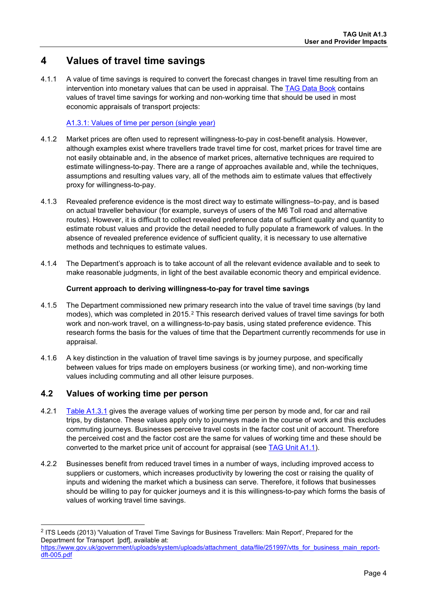## <span id="page-5-0"></span>**4 Values of travel time savings**

4.1.1 A value of time savings is required to convert the forecast changes in travel time resulting from an intervention into monetary values that can be used in appraisal. The [TAG Data Book](https://www.gov.uk/transport-analysis-guidance-webtag#webtag-data-book) contains values of travel time savings for working and non-working time that should be used in most economic appraisals of transport projects:

#### [A1.3.1: Values of time per person \(single year\)](https://www.gov.uk/transport-analysis-guidance-webtag#webtag-data-book)

- 4.1.2 Market prices are often used to represent willingness-to-pay in cost-benefit analysis. However, although examples exist where travellers trade travel time for cost, market prices for travel time are not easily obtainable and, in the absence of market prices, alternative techniques are required to estimate willingness-to-pay. There are a range of approaches available and, while the techniques, assumptions and resulting values vary, all of the methods aim to estimate values that effectively proxy for willingness-to-pay.
- 4.1.3 Revealed preference evidence is the most direct way to estimate willingness–to-pay, and is based on actual traveller behaviour (for example, surveys of users of the M6 Toll road and alternative routes). However, it is difficult to collect revealed preference data of sufficient quality and quantity to estimate robust values and provide the detail needed to fully populate a framework of values. In the absence of revealed preference evidence of sufficient quality, it is necessary to use alternative methods and techniques to estimate values.
- 4.1.4 The Department's approach is to take account of all the relevant evidence available and to seek to make reasonable judgments, in light of the best available economic theory and empirical evidence.

#### **Current approach to deriving willingness-to-pay for travel time savings**

- 4.1.5 The Department commissioned new primary research into the value of travel time savings (by land modes), which was completed in [2](#page-5-2)015.<sup>2</sup> This research derived values of travel time savings for both work and non-work travel, on a willingness-to-pay basis, using stated preference evidence. This research forms the basis for the values of time that the Department currently recommends for use in appraisal.
- 4.1.6 A key distinction in the valuation of travel time savings is by journey purpose, and specifically between values for trips made on employers business (or working time), and non-working time values including commuting and all other leisure purposes.

## <span id="page-5-1"></span>**4.2 Values of working time per person**

-

- 4.2.1 [Table A1.3.1](https://www.gov.uk/transport-analysis-guidance-webtag#webtag-data-book) gives the average values of working time per person by mode and, for car and rail trips, by distance. These values apply only to journeys made in the course of work and this excludes commuting journeys. Businesses perceive travel costs in the factor cost unit of account. Therefore the perceived cost and the factor cost are the same for values of working time and these should be converted to the market price unit of account for appraisal (see [TAG Unit A1.1\)](https://www.gov.uk/transport-analysis-guidance-webtag#a1-cost-benefit-analysis).
- 4.2.2 Businesses benefit from reduced travel times in a number of ways, including improved access to suppliers or customers, which increases productivity by lowering the cost or raising the quality of inputs and widening the market which a business can serve. Therefore, it follows that businesses should be willing to pay for quicker journeys and it is this willingness-to-pay which forms the basis of values of working travel time savings.

<span id="page-5-2"></span><sup>2</sup> ITS Leeds (2013) 'Valuation of Travel Time Savings for Business Travellers: Main Report', Prepared for the Department for Transport [pdf], available at:

[https://www.gov.uk/government/uploads/system/uploads/attachment\\_data/file/251997/vtts\\_for\\_business\\_main\\_report](https://www.gov.uk/government/uploads/system/uploads/attachment_data/file/251997/vtts_for_business_main_report-dft-005.pdf)[dft-005.pdf](https://www.gov.uk/government/uploads/system/uploads/attachment_data/file/251997/vtts_for_business_main_report-dft-005.pdf)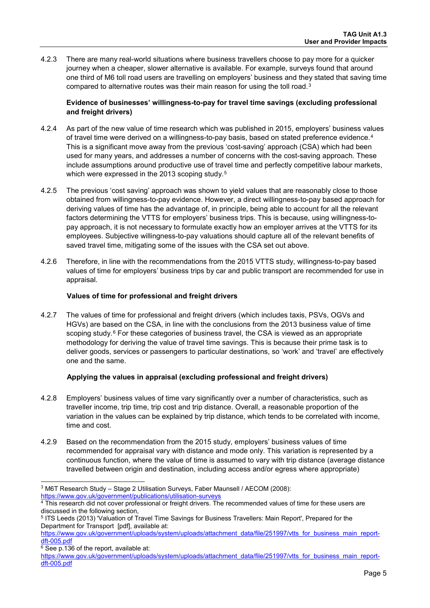4.2.3 There are many real-world situations where business travellers choose to pay more for a quicker journey when a cheaper, slower alternative is available. For example, surveys found that around one third of M6 toll road users are travelling on employers' business and they stated that saving time compared to alternative routes was their main reason for using the toll road.[3](#page-6-0)

#### **Evidence of businesses' willingness-to-pay for travel time savings (excluding professional and freight drivers)**

- 4.2.4 As part of the new value of time research which was published in 2015, employers' business values of travel time were derived on a willingness-to-pay basis, based on stated preference evidence.<sup>[4](#page-6-1)</sup> This is a significant move away from the previous 'cost-saving' approach (CSA) which had been used for many years, and addresses a number of concerns with the cost-saving approach. These include assumptions around productive use of travel time and perfectly competitive labour markets, which were expressed in the 2013 scoping study.<sup>[5](#page-6-2)</sup>
- 4.2.5 The previous 'cost saving' approach was shown to yield values that are reasonably close to those obtained from willingness-to-pay evidence. However, a direct willingness-to-pay based approach for deriving values of time has the advantage of, in principle, being able to account for all the relevant factors determining the VTTS for employers' business trips. This is because, using willingness-topay approach, it is not necessary to formulate exactly how an employer arrives at the VTTS for its employees. Subjective willingness-to-pay valuations should capture all of the relevant benefits of saved travel time, mitigating some of the issues with the CSA set out above.
- 4.2.6 Therefore, in line with the recommendations from the 2015 VTTS study, willingness-to-pay based values of time for employers' business trips by car and public transport are recommended for use in appraisal.

#### **Values of time for professional and freight drivers**

4.2.7 The values of time for professional and freight drivers (which includes taxis, PSVs, OGVs and HGVs) are based on the CSA, in line with the conclusions from the 2013 business value of time scoping study.<sup>[6](#page-6-3)</sup> For these categories of business travel, the CSA is viewed as an appropriate methodology for deriving the value of travel time savings. This is because their prime task is to deliver goods, services or passengers to particular destinations, so 'work' and 'travel' are effectively one and the same.

#### **Applying the values in appraisal (excluding professional and freight drivers)**

- 4.2.8 Employers' business values of time vary significantly over a number of characteristics, such as traveller income, trip time, trip cost and trip distance. Overall, a reasonable proportion of the variation in the values can be explained by trip distance, which tends to be correlated with income, time and cost.
- 4.2.9 Based on the recommendation from the 2015 study, employers' business values of time recommended for appraisal vary with distance and mode only. This variation is represented by a continuous function, where the value of time is assumed to vary with trip distance (average distance travelled between origin and destination, including access and/or egress where appropriate)

<span id="page-6-3"></span> $6$  See p.136 of the report, available at:

-

<span id="page-6-0"></span><sup>3</sup> M6T Research Study – Stage 2 Utilisation Surveys, Faber Maunsell / AECOM (2008):

<span id="page-6-1"></span>https://www.gov.uk/government/publications/utilisation-surveys<br><sup>4</sup> This research did not cover professional or freight drivers. The recommended values of time for these users are discussed in the following section,

<span id="page-6-2"></span><sup>5</sup> ITS Leeds (2013) 'Valuation of Travel Time Savings for Business Travellers: Main Report', Prepared for the Department for Transport [pdf], available at:

[https://www.gov.uk/government/uploads/system/uploads/attachment\\_data/file/251997/vtts\\_for\\_business\\_main\\_report](https://www.gov.uk/government/uploads/system/uploads/attachment_data/file/251997/vtts_for_business_main_report-dft-005.pdf)[dft-005.pdf](https://www.gov.uk/government/uploads/system/uploads/attachment_data/file/251997/vtts_for_business_main_report-dft-005.pdf)

[https://www.gov.uk/government/uploads/system/uploads/attachment\\_data/file/251997/vtts\\_for\\_business\\_main\\_report](https://www.gov.uk/government/uploads/system/uploads/attachment_data/file/251997/vtts_for_business_main_report-dft-005.pdf)[dft-005.pdf](https://www.gov.uk/government/uploads/system/uploads/attachment_data/file/251997/vtts_for_business_main_report-dft-005.pdf)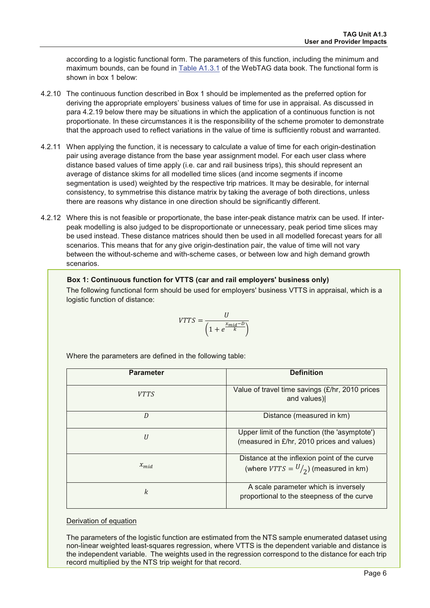according to a logistic functional form. The parameters of this function, including the minimum and maximum bounds, can be found in Table A1.3.1 of the WebTAG data book. The functional form is shown in box 1 below:

- 4.2.10 The continuous function described in Box 1 should be implemented as the preferred option for deriving the appropriate employers' business values of time for use in appraisal. As discussed in para 4.2.19 below there may be situations in which the application of a continuous function is not proportionate. In these circumstances it is the responsibility of the scheme promoter to demonstrate that the approach used to reflect variations in the value of time is sufficiently robust and warranted.
- 4.2.11 When applying the function, it is necessary to calculate a value of time for each origin-destination pair using average distance from the base vear assignment model. For each user class where distance based values of time apply (i.e. car and rail business trips), this should represent an average of distance skims for all modelled time slices (and income segments if income segmentation is used) weighted by the respective trip matrices. It may be desirable, for internal consistency, to symmetrise this distance matrix by taking the average of both directions, unless there are reasons why distance in one direction should be significantly different.
- 4.2.12 Where this is not feasible or proportionate, the base inter-peak distance matrix can be used. If interpeak modelling is also judged to be disproportionate or unnecessary, peak period time slices may be used instead. These distance matrices should then be used in all modelled forecast years for all scenarios. This means that for any give origin-destination pair, the value of time will not vary between the without-scheme and with-scheme cases, or between low and high demand growth scenarios.

#### Box 1: Continuous function for VTTS (car and rail employers' business only)

The following functional form should be used for employers' business VTTS in appraisal, which is a logistic function of distance:

$$
VTTS = \frac{U}{\left(1 + e^{\frac{x_{mid} - D}{k}}\right)}
$$

Where the parameters are defined in the following table:

| <b>Parameter</b> | <b>Definition</b>                                                                           |
|------------------|---------------------------------------------------------------------------------------------|
| <i>VTTS</i>      | Value of travel time savings (£/hr, 2010 prices<br>and values)                              |
| D                | Distance (measured in km)                                                                   |
| U                | Upper limit of the function (the 'asymptote')<br>(measured in £/hr, 2010 prices and values) |
| $x_{mid}$        | Distance at the inflexion point of the curve<br>(where $VTTS = U/2$ ) (measured in km)      |
| k                | A scale parameter which is inversely<br>proportional to the steepness of the curve          |

#### the contract of the contract of Derivation of equation

The parameters of the logistic function are estimated from the NTS sample enumerated dataset using non-linear weighted least-squares regression, where VTTS is the dependent variable and distance is the independent variable. The weights used in the regression correspond to the distance for each trip record multiplied by the NTS trip weight for that record.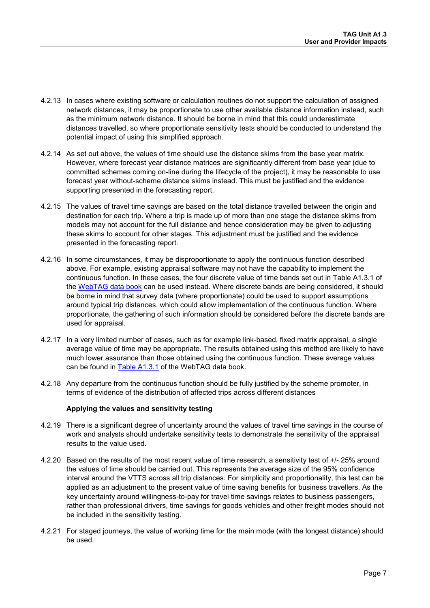- 4.2.13 In cases where existing software or calculation routines do not support the calculation of assigned network distances, it may be proportionate to use other available distance information instead, such as the minimum network distance. It should be borne in mind that this could underestimate distances travelled, so where proportionate sensitivity tests should be conducted to understand the potential impact of using this simplified approach.
- 4.2.14 As set out above, the values of time should use the distance skims from the base year matrix. However, where forecast year distance matrices are significantly different from base year (due to committed schemes coming on-line during the lifecycle of the project), it may be reasonable to use forecast year without-scheme distance skims instead. This must be justified and the evidence supporting presented in the forecasting report.
- 4.2.15 The values of travel time savings are based on the total distance travelled between the origin and destination for each trip. Where a trip is made up of more than one stage the distance skims from models may not account for the full distance and hence consideration may be given to adjusting these skims to account for other stages. This adjustment must be justified and the evidence presented in the forecasting report.
- 4.2.16 In some circumstances, it may be disproportionate to apply the continuous function described above. For example, existing appraisal software may not have the capability to implement the continuous function. In these cases, the four discrete value of time bands set out in Table A1.3.1 of the [WebTAG data book](https://www.gov.uk/transport-analysis-guidance-webtag#webtag-data-book) can be used instead. Where discrete bands are being considered, it should be borne in mind that survey data (where proportionate) could be used to support assumptions around typical trip distances, which could allow implementation of the continuous function. Where proportionate, the gathering of such information should be considered before the discrete bands are used for appraisal.
- 4.2.17 In a very limited number of cases, such as for example link-based, fixed matrix appraisal, a single average value of time may be appropriate. The results obtained using this method are likely to have much lower assurance than those obtained using the continuous function. These average values can be found in [Table A1.3.1](https://www.gov.uk/transport-analysis-guidance-webtag#webtag-data-book) of the WebTAG data book.
- 4.2.18 Any departure from the continuous function should be fully justified by the scheme promoter, in terms of evidence of the distribution of affected trips across different distances

#### **Applying the values and sensitivity testing**

- 4.2.19 There is a significant degree of uncertainty around the values of travel time savings in the course of work and analysts should undertake sensitivity tests to demonstrate the sensitivity of the appraisal results to the value used.
- 4.2.20 Based on the results of the most recent value of time research, a sensitivity test of +/- 25% around the values of time should be carried out. This represents the average size of the 95% confidence interval around the VTTS across all trip distances. For simplicity and proportionality, this test can be applied as an adjustment to the present value of time saving benefits for business travellers. As the key uncertainty around willingness-to-pay for travel time savings relates to business passengers, rather than professional drivers, time savings for goods vehicles and other freight modes should not be included in the sensitivity testing.
- <span id="page-8-0"></span>4.2.21 For staged journeys, the value of working time for the main mode (with the longest distance) should be used.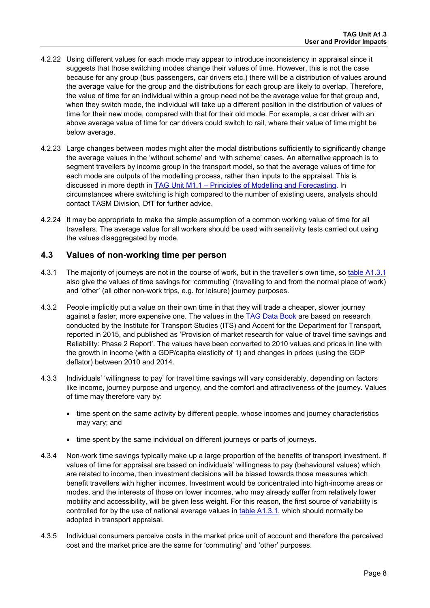- 4.2.22 Using different values for each mode may appear to introduce inconsistency in appraisal since it suggests that those switching modes change their values of time. However, this is not the case because for any group (bus passengers, car drivers etc.) there will be a distribution of values around the average value for the group and the distributions for each group are likely to overlap. Therefore, the value of time for an individual within a group need not be the average value for that group and, when they switch mode, the individual will take up a different position in the distribution of values of time for their new mode, compared with that for their old mode. For example, a car driver with an above average value of time for car drivers could switch to rail, where their value of time might be below average.
- 4.2.23 Large changes between modes might alter the modal distributions sufficiently to significantly change the average values in the 'without scheme' and 'with scheme' cases. An alternative approach is to segment travellers by income group in the transport model, so that the average values of time for each mode are outputs of the modelling process, rather than inputs to the appraisal. This is discussed in more depth in [TAG Unit M1.1 – Principles of Modelling and Forecasting.](https://www.gov.uk/transport-analysis-guidance-webtag#m1-modelling-principles) In circumstances where switching is high compared to the number of existing users, analysts should contact TASM Division, DfT for further advice.
- 4.2.24 It may be appropriate to make the simple assumption of a common working value of time for all travellers. The average value for all workers should be used with sensitivity tests carried out using the values disaggregated by mode.

#### **4.3 Values of non-working time per person**

- 4.3.1 The majority of journeys are not in the course of work, but in the traveller's own time, so [table A1.3.1](https://www.gov.uk/transport-analysis-guidance-webtag#webtag-data-book) also give the values of time savings for 'commuting' (travelling to and from the normal place of work) and 'other' (all other non-work trips, e.g. for leisure) journey purposes.
- 4.3.2 People implicitly put a value on their own time in that they will trade a cheaper, slower journey against a faster, more expensive one. The values in the [TAG Data Book](https://www.gov.uk/transport-analysis-guidance-webtag#webtag-data-book) are based on research conducted by the Institute for Transport Studies (ITS) and Accent for the Department for Transport, reported in 2015, and published as 'Provision of market research for value of travel time savings and Reliability: Phase 2 Report'. The values have been converted to 2010 values and prices in line with the growth in income (with a GDP/capita elasticity of 1) and changes in prices (using the GDP deflator) between 2010 and 2014.
- 4.3.3 Individuals' 'willingness to pay' for travel time savings will vary considerably, depending on factors like income, journey purpose and urgency, and the comfort and attractiveness of the journey. Values of time may therefore vary by:
	- time spent on the same activity by different people, whose incomes and journey characteristics may vary; and
	- time spent by the same individual on different journeys or parts of journeys.
- 4.3.4 Non-work time savings typically make up a large proportion of the benefits of transport investment. If values of time for appraisal are based on individuals' willingness to pay (behavioural values) which are related to income, then investment decisions will be biased towards those measures which benefit travellers with higher incomes. Investment would be concentrated into high-income areas or modes, and the interests of those on lower incomes, who may already suffer from relatively lower mobility and accessibility, will be given less weight. For this reason, the first source of variability is controlled for by the use of national average values in [table A1.3.1,](https://www.gov.uk/transport-analysis-guidance-webtag#webtag-data-book) which should normally be adopted in transport appraisal.
- 4.3.5 Individual consumers perceive costs in the market price unit of account and therefore the perceived cost and the market price are the same for 'commuting' and 'other' purposes.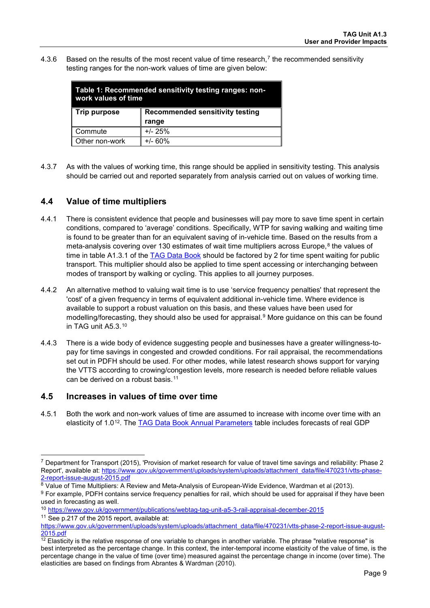4.3.6 Based on the results of the most recent value of time research,<sup>[7](#page-10-1)</sup> the recommended sensitivity testing ranges for the non-work values of time are given below:

| work values of time | Table 1: Recommended sensitivity testing ranges: non- |  |
|---------------------|-------------------------------------------------------|--|
| Trip purpose        | <b>Recommended sensitivity testing</b><br>range       |  |
|                     |                                                       |  |
| Commute             | $+/- 25%$                                             |  |
| Other non-work      | $+/- 60%$                                             |  |

4.3.7 As with the values of working time, this range should be applied in sensitivity testing. This analysis should be carried out and reported separately from analysis carried out on values of working time.

## **4.4 Value of time multipliers**

- 4.4.1 There is consistent evidence that people and businesses will pay more to save time spent in certain conditions, compared to 'average' conditions. Specifically, WTP for saving walking and waiting time is found to be greater than for an equivalent saving of in-vehicle time. Based on the results from a meta-analysis covering over 130 estimates of wait time multipliers across Europe,<sup>[8](#page-10-2)</sup> the values of time in table A1.3.1 of the TAG [Data Book](https://www.gov.uk/transport-analysis-guidance-webtag#webtag-data-book) should be factored by 2 for time spent waiting for public transport. This multiplier should also be applied to time spent accessing or interchanging between modes of transport by walking or cycling. This applies to all journey purposes.
- 4.4.2 An alternative method to valuing wait time is to use 'service frequency penalties' that represent the 'cost' of a given frequency in terms of equivalent additional in-vehicle time. Where evidence is available to support a robust valuation on this basis, and these values have been used for modelling/forecasting, they should also be used for appraisal.<sup>[9](#page-10-3)</sup> More guidance on this can be found in TAG unit A5.3.[10](#page-10-4)
- 4.4.3 There is a wide body of evidence suggesting people and businesses have a greater willingness-topay for time savings in congested and crowded conditions. For rail appraisal, the recommendations set out in PDFH should be used. For other modes, while latest research shows support for varying the VTTS according to crowing/congestion levels, more research is needed before reliable values can be derived on a robust basis.<sup>[11](#page-10-5)</sup>

#### <span id="page-10-0"></span>**4.5 Increases in values of time over time**

4.5.1 Both the work and non-work values of time are assumed to increase with income over time with an elasticity of 1.0[12.](#page-10-6) The [TAG Data Book Annual Parameters](https://www.gov.uk/transport-analysis-guidance-webtag#webtag-data-book) table includes forecasts of real GDP

-

<span id="page-10-1"></span><sup>7</sup> Department for Transport (2015), 'Provision of market research for value of travel time savings and reliability: Phase 2 Report', available at: [https://www.gov.uk/government/uploads/system/uploads/attachment\\_data/file/470231/vtts-phase-](https://www.gov.uk/government/uploads/system/uploads/attachment_data/file/470231/vtts-phase-2-report-issue-august-2015.pdf)

<span id="page-10-2"></span>[<sup>2-</sup>report-issue-august-2015.pdf](https://www.gov.uk/government/uploads/system/uploads/attachment_data/file/470231/vtts-phase-2-report-issue-august-2015.pdf)<br>
<sup>8</sup> Value of Time Multipliers: A Review and Meta-Analysis of European-Wide Evidence, Wardman et al (2013).

<span id="page-10-3"></span> $9$  For example, PDFH contains service frequency penalties for rail, which should be used for appraisal if they have been used in forecasting as well.

<span id="page-10-4"></span><sup>10</sup> <https://www.gov.uk/government/publications/webtag-tag-unit-a5-3-rail-appraisal-december-2015>

<span id="page-10-5"></span><sup>11</sup> See p.217 of the 2015 report, available at:

[https://www.gov.uk/government/uploads/system/uploads/attachment\\_data/file/470231/vtts-phase-2-report-issue-august-](https://www.gov.uk/government/uploads/system/uploads/attachment_data/file/470231/vtts-phase-2-report-issue-august-2015.pdf)[2015.pdf](https://www.gov.uk/government/uploads/system/uploads/attachment_data/file/470231/vtts-phase-2-report-issue-august-2015.pdf)

<span id="page-10-6"></span><sup>&</sup>lt;sup>12</sup> Elasticity is the relative response of one variable to changes in another variable. The phrase "relative response" is best interpreted as the percentage change. In this context, the inter-temporal income elasticity of the value of time, is the percentage change in the value of time (over time) measured against the percentage change in income (over time). The elasticities are based on findings from Abrantes & Wardman (2010).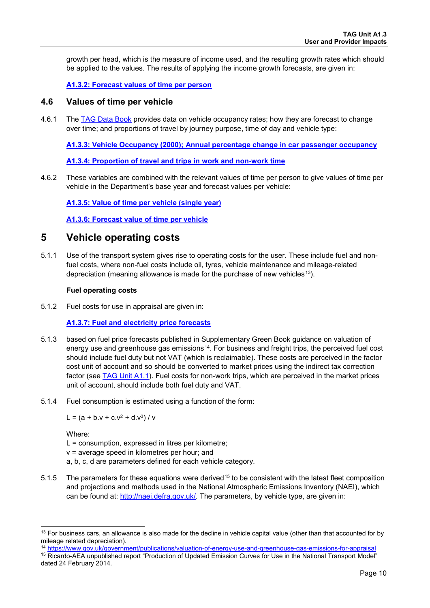growth per head, which is the measure of income used, and the resulting growth rates which should be applied to the values. The results of applying the income growth forecasts, are given in:

#### **[A1.3.2: Forecast values of time per person](https://www.gov.uk/transport-analysis-guidance-webtag#webtag-data-book)**

#### <span id="page-11-0"></span>**4.6 Values of time per vehicle**

4.6.1 The [TAG Data Book](https://www.gov.uk/transport-analysis-guidance-webtag#webtag-data-book) provides data on vehicle occupancy rates; how they are forecast to change over time; and proportions of travel by journey purpose, time of day and vehicle type:

**[A1.3.3: Vehicle Occupancy \(2000\); Annual percentage change in car passenger occupancy](https://www.gov.uk/transport-analysis-guidance-webtag#webtag-data-book)**

**[A1.3.4: Proportion of travel and trips in work and non-work time](https://www.gov.uk/transport-analysis-guidance-webtag#webtag-data-book)**

4.6.2 These variables are combined with the relevant values of time per person to give values of time per vehicle in the Department's base year and forecast values per vehicle:

**[A1.3.5: Value of time per vehicle \(single year\)](https://www.gov.uk/transport-analysis-guidance-webtag#webtag-data-book)**

**[A1.3.6: Forecast value of time per vehicle](https://www.gov.uk/transport-analysis-guidance-webtag#webtag-data-book)**

## <span id="page-11-1"></span>**5 Vehicle operating costs**

5.1.1 Use of the transport system gives rise to operating costs for the user. These include fuel and nonfuel costs, where non-fuel costs include oil, tyres, vehicle maintenance and mileage-related depreciation (meaning allowance is made for the purchase of new vehicles<sup>[13](#page-11-2)</sup>).

#### **Fuel operating costs**

5.1.2 Fuel costs for use in appraisal are given in:

#### **[A1.3.7: Fuel and electricity price forecasts](https://www.gov.uk/transport-analysis-guidance-webtag#webtag-data-book)**

- 5.1.3 based on fuel price forecasts published in Supplementary Green Book guidance on valuation of energy use and greenhouse gas emissions<sup>14</sup>. For business and freight trips, the perceived fuel cost should include fuel duty but not VAT (which is reclaimable). These costs are perceived in the factor cost unit of account and so should be converted to market prices using the indirect tax correction factor (see [TAG Unit A1.1\)](https://www.gov.uk/transport-analysis-guidance-webtag#a1-cost-benefit-analysis). Fuel costs for non-work trips, which are perceived in the market prices unit of account, should include both fuel duty and VAT.
- 5.1.4 Fuel consumption is estimated using a function of the form:

L =  $(a + b \cdot v + c \cdot v^2 + d \cdot v^3) / v$ 

Where:

-

L = consumption, expressed in litres per kilometre;

- v = average speed in kilometres per hour; and
- a, b, c, d are parameters defined for each vehicle category.
- 5.1.5 The parameters for these equations were derived<sup>[15](#page-11-4)</sup> to be consistent with the latest fleet composition and projections and methods used in the National Atmospheric Emissions Inventory (NAEI), which can be found at: [http://naei.defra.gov.uk/.](http://naei.defra.gov.uk/) The parameters, by vehicle type, are given in:

<sup>14</sup> <https://www.gov.uk/government/publications/valuation-of-energy-use-and-greenhouse-gas-emissions-for-appraisal>

<span id="page-11-2"></span><sup>&</sup>lt;sup>13</sup> For business cars, an allowance is also made for the decline in vehicle capital value (other than that accounted for by mileage related depreciation).

<span id="page-11-4"></span><span id="page-11-3"></span><sup>15</sup> Ricardo-AEA unpublished report "Production of Updated Emission Curves for Use in the National Transport Model" dated 24 February 2014.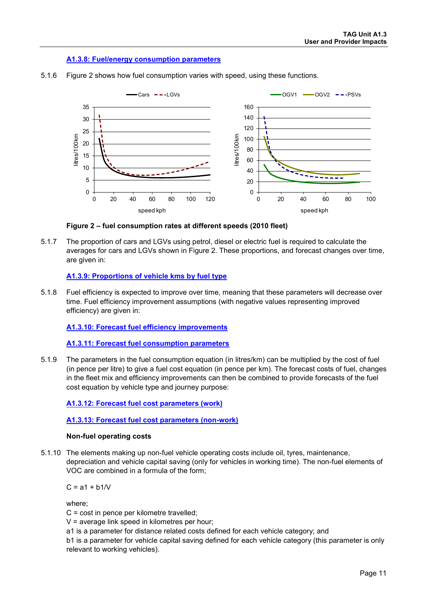#### **[A1.3.8: Fuel/energy consumption parameters](https://www.gov.uk/transport-analysis-guidance-webtag#webtag-data-book)**



5.1.6 [Figure 2](#page-12-0) shows how fuel consumption varies with speed, using these functions.

#### **Figure 2 – fuel consumption rates at different speeds (2010 fleet)**

<span id="page-12-0"></span>5.1.7 The proportion of cars and LGVs using petrol, diesel or electric fuel is required to calculate the averages for cars and LGVs shown in [Figure 2.](#page-12-0) These proportions, and forecast changes over time, are given in:

#### **[A1.3.9: Proportions of vehicle kms by fuel type](https://www.gov.uk/transport-analysis-guidance-webtag#webtag-data-book)**

5.1.8 Fuel efficiency is expected to improve over time, meaning that these parameters will decrease over time. Fuel efficiency improvement assumptions (with negative values representing improved efficiency) are given in:

#### **[A1.3.10: Forecast fuel efficiency improvements](https://www.gov.uk/transport-analysis-guidance-webtag#webtag-data-book)**

**[A1.3.11: Forecast fuel consumption parameters](https://www.gov.uk/transport-analysis-guidance-webtag#webtag-data-book)**

5.1.9 The parameters in the fuel consumption equation (in litres/km) can be multiplied by the cost of fuel (in pence per litre) to give a fuel cost equation (in pence per km). The forecast costs of fuel, changes in the fleet mix and efficiency improvements can then be combined to provide forecasts of the fuel cost equation by vehicle type and journey purpose:

#### **[A1.3.12: Forecast fuel cost parameters \(work\)](https://www.gov.uk/transport-analysis-guidance-webtag#webtag-data-book)**

#### **[A1.3.13: Forecast fuel cost parameters \(non-work\)](https://www.gov.uk/transport-analysis-guidance-webtag#webtag-data-book)**

#### **Non-fuel operating costs**

5.1.10 The elements making up non-fuel vehicle operating costs include oil, tyres, maintenance, depreciation and vehicle capital saving (only for vehicles in working time). The non-fuel elements of VOC are combined in a formula of the form;

 $C = a1 + b1/V$ 

where;

C = cost in pence per kilometre travelled;

V = average link speed in kilometres per hour;

a1 is a parameter for distance related costs defined for each vehicle category; and

b1 is a parameter for vehicle capital saving defined for each vehicle category (this parameter is only relevant to working vehicles).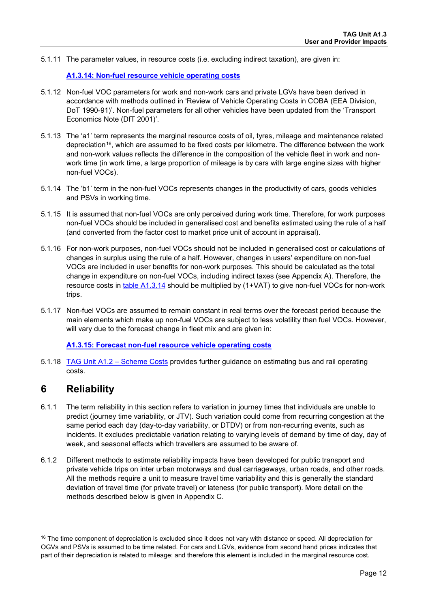5.1.11 The parameter values, in resource costs (i.e. excluding indirect taxation), are given in:

#### **[A1.3.14: Non-fuel resource vehicle operating costs](https://www.gov.uk/transport-analysis-guidance-webtag#webtag-data-book)**

- 5.1.12 Non-fuel VOC parameters for work and non-work cars and private LGVs have been derived in accordance with methods outlined in 'Review of Vehicle Operating Costs in COBA (EEA Division, DoT 1990-91)'. Non-fuel parameters for all other vehicles have been updated from the 'Transport Economics Note (DfT 2001)'.
- 5.1.13 The 'a1' term represents the marginal resource costs of oil, tyres, mileage and maintenance related depreciation<sup>[16](#page-13-1)</sup>, which are assumed to be fixed costs per kilometre. The difference between the work and non-work values reflects the difference in the composition of the vehicle fleet in work and nonwork time (in work time, a large proportion of mileage is by cars with large engine sizes with higher non-fuel VOCs).
- 5.1.14 The 'b1' term in the non-fuel VOCs represents changes in the productivity of cars, goods vehicles and PSVs in working time.
- 5.1.15 It is assumed that non-fuel VOCs are only perceived during work time. Therefore, for work purposes non-fuel VOCs should be included in generalised cost and benefits estimated using the rule of a half (and converted from the factor cost to market price unit of account in appraisal).
- 5.1.16 For non-work purposes, non-fuel VOCs should not be included in generalised cost or calculations of changes in surplus using the rule of a half. However, changes in users' expenditure on non-fuel VOCs are included in user benefits for non-work purposes. This should be calculated as the total change in expenditure on non-fuel VOCs, including indirect taxes (see [Appendix A\)](#page-21-0). Therefore, the resource costs in [table A1.3.14](https://www.gov.uk/transport-analysis-guidance-webtag#webtag-data-book) should be multiplied by (1+VAT) to give non-fuel VOCs for non-work trips.
- 5.1.17 Non-fuel VOCs are assumed to remain constant in real terms over the forecast period because the main elements which make up non-fuel VOCs are subject to less volatility than fuel VOCs. However, will vary due to the forecast change in fleet mix and are given in:

#### **[A1.3.15: Forecast non-fuel resource vehicle operating costs](https://www.gov.uk/transport-analysis-guidance-webtag#webtag-data-book)**

5.1.18 [TAG Unit A1.2 – Scheme Costs](https://www.gov.uk/transport-analysis-guidance-webtag#a1-cost-benefit-analysis) provides further guidance on estimating bus and rail operating costs.

## <span id="page-13-0"></span>**6 Reliability**

- 6.1.1 The term reliability in this section refers to variation in journey times that individuals are unable to predict (journey time variability, or JTV). Such variation could come from recurring congestion at the same period each day (day-to-day variability, or DTDV) or from non-recurring events, such as incidents. It excludes predictable variation relating to varying levels of demand by time of day, day of week, and seasonal effects which travellers are assumed to be aware of.
- 6.1.2 Different methods to estimate reliability impacts have been developed for public transport and private vehicle trips on inter urban motorways and dual carriageways, urban roads, and other roads. All the methods require a unit to measure travel time variability and this is generally the standard deviation of travel time (for private travel) or lateness (for public transport). More detail on the methods described below is given in [Appendix C.](#page-28-0)

<span id="page-13-1"></span><sup>-</sup><sup>16</sup> The time component of depreciation is excluded since it does not vary with distance or speed. All depreciation for OGVs and PSVs is assumed to be time related. For cars and LGVs, evidence from second hand prices indicates that part of their depreciation is related to mileage; and therefore this element is included in the marginal resource cost.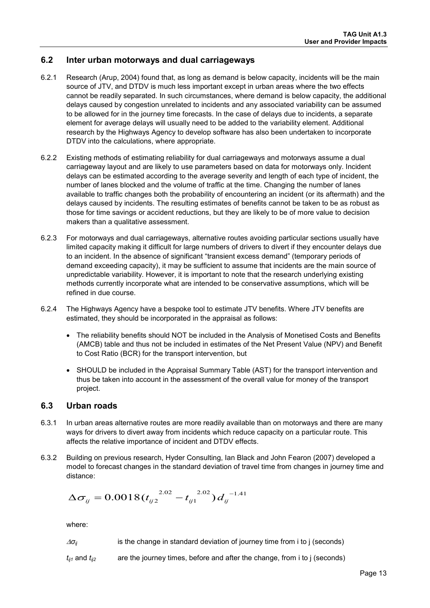#### <span id="page-14-0"></span>**6.2 Inter urban motorways and dual carriageways**

- 6.2.1 Research (Arup, 2004) found that, as long as demand is below capacity, incidents will be the main source of JTV, and DTDV is much less important except in urban areas where the two effects cannot be readily separated. In such circumstances, where demand is below capacity, the additional delays caused by congestion unrelated to incidents and any associated variability can be assumed to be allowed for in the journey time forecasts. In the case of delays due to incidents, a separate element for average delays will usually need to be added to the variability element. Additional research by the Highways Agency to develop software has also been undertaken to incorporate DTDV into the calculations, where appropriate.
- 6.2.2 Existing methods of estimating reliability for dual carriageways and motorways assume a dual carriageway layout and are likely to use parameters based on data for motorways only. Incident delays can be estimated according to the average severity and length of each type of incident, the number of lanes blocked and the volume of traffic at the time. Changing the number of lanes available to traffic changes both the probability of encountering an incident (or its aftermath) and the delays caused by incidents. The resulting estimates of benefits cannot be taken to be as robust as those for time savings or accident reductions, but they are likely to be of more value to decision makers than a qualitative assessment.
- 6.2.3 For motorways and dual carriageways, alternative routes avoiding particular sections usually have limited capacity making it difficult for large numbers of drivers to divert if they encounter delays due to an incident. In the absence of significant "transient excess demand" (temporary periods of demand exceeding capacity), it may be sufficient to assume that incidents are the main source of unpredictable variability. However, it is important to note that the research underlying existing methods currently incorporate what are intended to be conservative assumptions, which will be refined in due course.
- 6.2.4 The Highways Agency have a bespoke tool to estimate JTV benefits. Where JTV benefits are estimated, they should be incorporated in the appraisal as follows:
	- The reliability benefits should NOT be included in the Analysis of Monetised Costs and Benefits (AMCB) table and thus not be included in estimates of the Net Present Value (NPV) and Benefit to Cost Ratio (BCR) for the transport intervention, but
	- SHOULD be included in the Appraisal Summary Table (AST) for the transport intervention and thus be taken into account in the assessment of the overall value for money of the transport project.

#### <span id="page-14-1"></span>**6.3 Urban roads**

- 6.3.1 In urban areas alternative routes are more readily available than on motorways and there are many ways for drivers to divert away from incidents which reduce capacity on a particular route. This affects the relative importance of incident and DTDV effects.
- <span id="page-14-2"></span>6.3.2 Building on previous research, Hyder Consulting, Ian Black and John Fearon (2007) developed a model to forecast changes in the standard deviation of travel time from changes in journey time and distance:

$$
\Delta \sigma_{ij} = 0.0018 (t_{ij2}^{2.02} - t_{ij1}^{2.02}) d_{ij}^{-1.41}
$$

where:

- <sup>∆</sup>*σij* is the change in standard deviation of journey time from i to j (seconds)
- $t_{ij}$  and  $t_{ij}$  are the journey times, before and after the change, from i to j (seconds)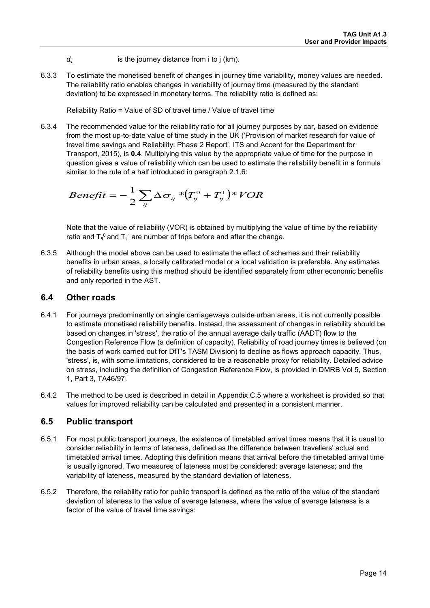- *d<sub>ij</sub>* is the journey distance from i to j (km).
- 6.3.3 To estimate the monetised benefit of changes in journey time variability, money values are needed. The reliability ratio enables changes in variability of journey time (measured by the standard deviation) to be expressed in monetary terms. The reliability ratio is defined as:

Reliability Ratio = Value of SD of travel time / Value of travel time

6.3.4 The recommended value for the reliability ratio for all journey purposes by car, based on evidence from the most up-to-date value of time study in the UK ('Provision of market research for value of travel time savings and Reliability: Phase 2 Report', ITS and Accent for the Department for Transport, 2015), is **0.4**. Multiplying this value by the appropriate value of time for the purpose in question gives a value of reliability which can be used to estimate the reliability benefit in a formula similar to the rule of a half introduced in paragraph [2.1.6:](#page-2-2)

$$
Benefit = -\frac{1}{2}\sum_{ij}\Delta\sigma_{ij}*(T_{ij}^0 + T_{ij}^1)*VOR
$$

Note that the value of reliability (VOR) is obtained by multiplying the value of time by the reliability ratio and  $T_{ii}^0$  and  $T_{ii}^1$  are number of trips before and after the change.

6.3.5 Although the model above can be used to estimate the effect of schemes and their reliability benefits in urban areas, a locally calibrated model or a local validation is preferable. Any estimates of reliability benefits using this method should be identified separately from other economic benefits and only reported in the AST.

## <span id="page-15-0"></span>**6.4 Other roads**

- 6.4.1 For journeys predominantly on single carriageways outside urban areas, it is not currently possible to estimate monetised reliability benefits. Instead, the assessment of changes in reliability should be based on changes in 'stress', the ratio of the annual average daily traffic (AADT) flow to the Congestion Reference Flow (a definition of capacity). Reliability of road journey times is believed (on the basis of work carried out for DfT's TASM Division) to decline as flows approach capacity. Thus, 'stress', is, with some limitations, considered to be a reasonable proxy for reliability. Detailed advice on stress, including the definition of Congestion Reference Flow, is provided in DMRB Vol 5, Section 1, Part 3, TA46/97.
- 6.4.2 The method to be used is described in detail in Appendix [C.5](#page-32-0) where a worksheet is provided so that values for improved reliability can be calculated and presented in a consistent manner.

#### <span id="page-15-1"></span>**6.5 Public transport**

- 6.5.1 For most public transport journeys, the existence of timetabled arrival times means that it is usual to consider reliability in terms of lateness, defined as the difference between travellers' actual and timetabled arrival times. Adopting this definition means that arrival before the timetabled arrival time is usually ignored. Two measures of lateness must be considered: average lateness; and the variability of lateness, measured by the standard deviation of lateness.
- 6.5.2 Therefore, the reliability ratio for public transport is defined as the ratio of the value of the standard deviation of lateness to the value of average lateness, where the value of average lateness is a factor of the value of travel time savings: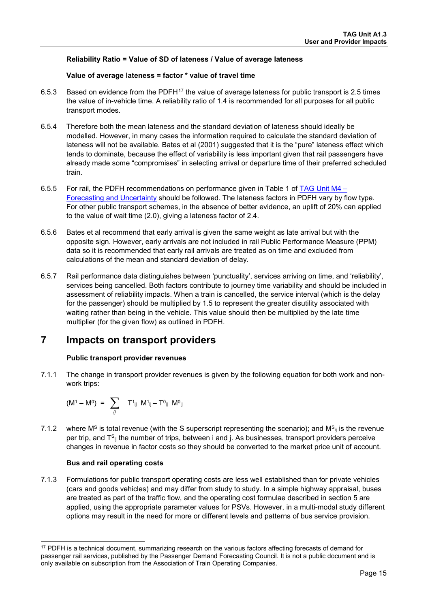#### **Reliability Ratio = Value of SD of lateness / Value of average lateness**

#### **Value of average lateness = factor \* value of travel time**

- 6.5.3 Based on evidence from the PDFH<sup>[17](#page-16-1)</sup> the value of average lateness for public transport is 2.5 times the value of in-vehicle time. A reliability ratio of 1.4 is recommended for all purposes for all public transport modes.
- 6.5.4 Therefore both the mean lateness and the standard deviation of lateness should ideally be modelled. However, in many cases the information required to calculate the standard deviation of lateness will not be available. Bates et al (2001) suggested that it is the "pure" lateness effect which tends to dominate, because the effect of variability is less important given that rail passengers have already made some "compromises" in selecting arrival or departure time of their preferred scheduled train.
- 6.5.5 For rail, the PDFH recommendations on performance given in Table 1 of [TAG Unit M4](https://www.gov.uk/transport-analysis-guidance-webtag#m4-forecasting)  [Forecasting and Uncertainty](https://www.gov.uk/transport-analysis-guidance-webtag#m4-forecasting) should be followed. The lateness factors in PDFH vary by flow type. For other public transport schemes, in the absence of better evidence, an uplift of 20% can applied to the value of wait time (2.0), giving a lateness factor of 2.4.
- 6.5.6 Bates et al recommend that early arrival is given the same weight as late arrival but with the opposite sign. However, early arrivals are not included in rail Public Performance Measure (PPM) data so it is recommended that early rail arrivals are treated as on time and excluded from calculations of the mean and standard deviation of delay.
- 6.5.7 Rail performance data distinguishes between 'punctuality', services arriving on time, and 'reliability', services being cancelled. Both factors contribute to journey time variability and should be included in assessment of reliability impacts. When a train is cancelled, the service interval (which is the delay for the passenger) should be multiplied by 1.5 to represent the greater disutility associated with waiting rather than being in the vehicle. This value should then be multiplied by the late time multiplier (for the given flow) as outlined in PDFH.

## <span id="page-16-0"></span>**7 Impacts on transport providers**

#### **Public transport provider revenues**

7.1.1 The change in transport provider revenues is given by the following equation for both work and nonwork trips:

$$
(M^{1} - M^{0}) = \sum_{ij} T^{1}_{ij} M^{1}_{ij} - T^{0}_{ij} M^{0}_{ij}
$$

7.1.2 where M<sup>S</sup> is total revenue (with the S superscript representing the scenario); and M<sup>S</sup><sub>ii</sub> is the revenue per trip, and  $T^{S_{ij}}$  the number of trips, between i and j. As businesses, transport providers perceive changes in revenue in factor costs so they should be converted to the market price unit of account.

#### **Bus and rail operating costs**

7.1.3 Formulations for public transport operating costs are less well established than for private vehicles (cars and goods vehicles) and may differ from study to study. In a simple highway appraisal, buses are treated as part of the traffic flow, and the operating cost formulae described in section [5](#page-11-1) are applied, using the appropriate parameter values for PSVs. However, in a multi-modal study different options may result in the need for more or different levels and patterns of bus service provision.

<span id="page-16-1"></span><sup>-</sup><sup>17</sup> PDFH is a technical document, summarizing research on the various factors affecting forecasts of demand for passenger rail services, published by the Passenger Demand Forecasting Council. It is not a public document and is only available on subscription from the Association of Train Operating Companies.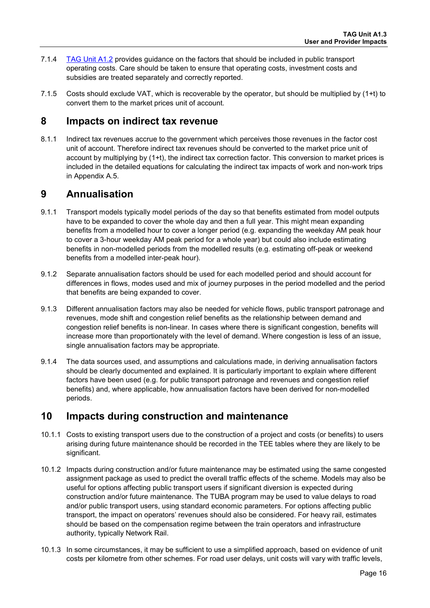- 7.1.4 [TAG Unit A1.2](https://www.gov.uk/transport-analysis-guidance-webtag#a1-cost-benefit-analysis) provides guidance on the factors that should be included in public transport operating costs. Care should be taken to ensure that operating costs, investment costs and subsidies are treated separately and correctly reported.
- 7.1.5 Costs should exclude VAT, which is recoverable by the operator, but should be multiplied by (1+t) to convert them to the market prices unit of account.

## <span id="page-17-0"></span>**8 Impacts on indirect tax revenue**

8.1.1 Indirect tax revenues accrue to the government which perceives those revenues in the factor cost unit of account. Therefore indirect tax revenues should be converted to the market price unit of account by multiplying by (1+t), the indirect tax correction factor. This conversion to market prices is included in the detailed equations for calculating the indirect tax impacts of work and non-work trips in Appendix [A.5.](#page-24-0)

## <span id="page-17-1"></span>**9 Annualisation**

- 9.1.1 Transport models typically model periods of the day so that benefits estimated from model outputs have to be expanded to cover the whole day and then a full year. This might mean expanding benefits from a modelled hour to cover a longer period (e.g. expanding the weekday AM peak hour to cover a 3-hour weekday AM peak period for a whole year) but could also include estimating benefits in non-modelled periods from the modelled results (e.g. estimating off-peak or weekend benefits from a modelled inter-peak hour).
- 9.1.2 Separate annualisation factors should be used for each modelled period and should account for differences in flows, modes used and mix of journey purposes in the period modelled and the period that benefits are being expanded to cover.
- 9.1.3 Different annualisation factors may also be needed for vehicle flows, public transport patronage and revenues, mode shift and congestion relief benefits as the relationship between demand and congestion relief benefits is non-linear. In cases where there is significant congestion, benefits will increase more than proportionately with the level of demand. Where congestion is less of an issue, single annualisation factors may be appropriate.
- 9.1.4 The data sources used, and assumptions and calculations made, in deriving annualisation factors should be clearly documented and explained. It is particularly important to explain where different factors have been used (e.g. for public transport patronage and revenues and congestion relief benefits) and, where applicable, how annualisation factors have been derived for non-modelled periods.

## <span id="page-17-2"></span>**10 Impacts during construction and maintenance**

- 10.1.1 Costs to existing transport users due to the construction of a project and costs (or benefits) to users arising during future maintenance should be recorded in the TEE tables where they are likely to be significant.
- 10.1.2 Impacts during construction and/or future maintenance may be estimated using the same congested assignment package as used to predict the overall traffic effects of the scheme. Models may also be useful for options affecting public transport users if significant diversion is expected during construction and/or future maintenance. The TUBA program may be used to value delays to road and/or public transport users, using standard economic parameters. For options affecting public transport, the impact on operators' revenues should also be considered. For heavy rail, estimates should be based on the compensation regime between the train operators and infrastructure authority, typically Network Rail.
- 10.1.3 In some circumstances, it may be sufficient to use a simplified approach, based on evidence of unit costs per kilometre from other schemes. For road user delays, unit costs will vary with traffic levels,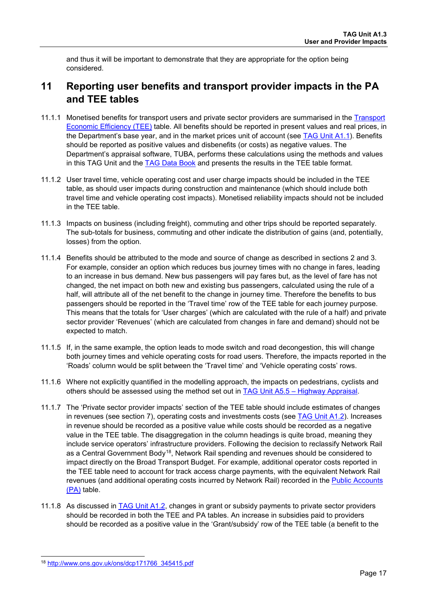and thus it will be important to demonstrate that they are appropriate for the option being considered.

## <span id="page-18-0"></span>**11 Reporting user benefits and transport provider impacts in the PA and TEE tables**

- 11.1.1 Monetised benefits for transport users and private sector providers are summarised in the [Transport](https://www.gov.uk/government/publications/webtag-appraisal-tables)  [Economic Efficiency \(TEE\)](https://www.gov.uk/government/publications/webtag-appraisal-tables) table. All benefits should be reported in present values and real prices, in the Department's base year, and in the market prices unit of account (see [TAG Unit A1.1\)](https://www.gov.uk/transport-analysis-guidance-webtag#a1-cost-benefit-analysis). Benefits should be reported as positive values and disbenefits (or costs) as negative values. The Department's appraisal software, TUBA, performs these calculations using the methods and values in this TAG Unit and the TAG [Data Book](https://www.gov.uk/transport-analysis-guidance-webtag#webtag-data-book) and presents the results in the TEE table format.
- 11.1.2 User travel time, vehicle operating cost and user charge impacts should be included in the TEE table, as should user impacts during construction and maintenance (which should include both travel time and vehicle operating cost impacts). Monetised reliability impacts should not be included in the TEE table.
- 11.1.3 Impacts on business (including freight), commuting and other trips should be reported separately. The sub-totals for business, commuting and other indicate the distribution of gains (and, potentially, losses) from the option.
- 11.1.4 Benefits should be attributed to the mode and source of change as described in sections [2](#page-2-1) and [3.](#page-4-0) For example, consider an option which reduces bus journey times with no change in fares, leading to an increase in bus demand. New bus passengers will pay fares but, as the level of fare has not changed, the net impact on both new and existing bus passengers, calculated using the rule of a half, will attribute all of the net benefit to the change in journey time. Therefore the benefits to bus passengers should be reported in the 'Travel time' row of the TEE table for each journey purpose. This means that the totals for 'User charges' (which are calculated with the rule of a half) and private sector provider 'Revenues' (which are calculated from changes in fare and demand) should not be expected to match.
- 11.1.5 If, in the same example, the option leads to mode switch and road decongestion, this will change both journey times and vehicle operating costs for road users. Therefore, the impacts reported in the 'Roads' column would be split between the 'Travel time' and 'Vehicle operating costs' rows.
- 11.1.6 Where not explicitly quantified in the modelling approach, the impacts on pedestrians, cyclists and others should be assessed using the method set out in [TAG Unit A5.5 – Highway Appraisal.](https://www.gov.uk/transport-analysis-guidance-webtag#a5-uni-modal-appraisal)
- 11.1.7 The 'Private sector provider impacts' section of the TEE table should include estimates of changes in revenues (see section [7\)](#page-16-0), operating costs and investments costs (see [TAG Unit A1.2\)](https://www.gov.uk/transport-analysis-guidance-webtag#a1-cost-benefit-analysis). Increases in revenue should be recorded as a positive value while costs should be recorded as a negative value in the TEE table. The disaggregation in the column headings is quite broad, meaning they include service operators' infrastructure providers. Following the decision to reclassify Network Rail as a Central Government Body[18](#page-18-1), Network Rail spending and revenues should be considered to impact directly on the Broad Transport Budget. For example, additional operator costs reported in the TEE table need to account for track access charge payments, with the equivalent Network Rail revenues (and additional operating costs incurred by Network Rail) recorded in the [Public Accounts](https://www.gov.uk/government/publications/webtag-appraisal-tables)  [\(PA\)](https://www.gov.uk/government/publications/webtag-appraisal-tables) table.
- 11.1.8 As discussed in [TAG Unit A1.2,](https://www.gov.uk/transport-analysis-guidance-webtag#a1-cost-benefit-analysis) changes in grant or subsidy payments to private sector providers should be recorded in both the TEE and PA tables. An increase in subsidies paid to providers should be recorded as a positive value in the 'Grant/subsidy' row of the TEE table (a benefit to the

<span id="page-18-1"></span><sup>-</sup><sup>18</sup> [http://www.ons.gov.uk/ons/dcp171766\\_345415.pdf](http://www.ons.gov.uk/ons/dcp171766_345415.pdf)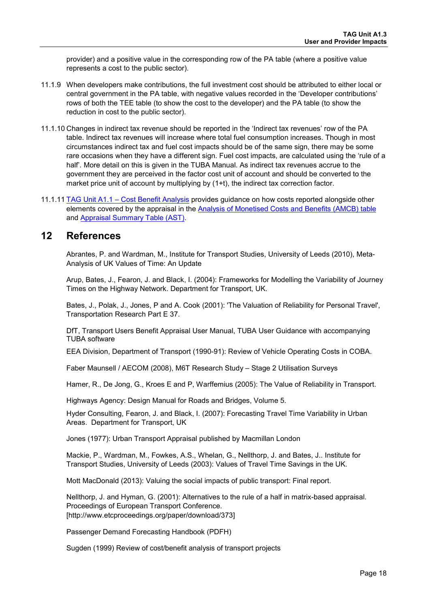provider) and a positive value in the corresponding row of the PA table (where a positive value represents a cost to the public sector).

- 11.1.9 When developers make contributions, the full investment cost should be attributed to either local or central government in the PA table, with negative values recorded in the 'Developer contributions' rows of both the TEE table (to show the cost to the developer) and the PA table (to show the reduction in cost to the public sector).
- 11.1.10 Changes in indirect tax revenue should be reported in the 'Indirect tax revenues' row of the PA table. Indirect tax revenues will increase where total fuel consumption increases. Though in most circumstances indirect tax and fuel cost impacts should be of the same sign, there may be some rare occasions when they have a different sign. Fuel cost impacts, are calculated using the 'rule of a half'. More detail on this is given in the TUBA Manual. As indirect tax revenues accrue to the government they are perceived in the factor cost unit of account and should be converted to the market price unit of account by multiplying by (1+t), the indirect tax correction factor.
- 11.1.11 [TAG Unit A1.1 Cost Benefit Analysis](https://www.gov.uk/transport-analysis-guidance-webtag#a1-cost-benefit-analysis) provides guidance on how costs reported alongside other elements covered by the appraisal in the [Analysis of Monetised Costs and Benefits \(AMCB\) table](https://www.gov.uk/government/publications/webtag-appraisal-tables) and [Appraisal Summary Table](https://www.gov.uk/government/publications/webtag-appraisal-tables) (AST).

## <span id="page-19-0"></span>**12 References**

Abrantes, P. and Wardman, M., Institute for Transport Studies, University of Leeds (2010), Meta-Analysis of UK Values of Time: An Update

Arup, Bates, J., Fearon, J. and Black, I. (2004): Frameworks for Modelling the Variability of Journey Times on the Highway Network. Department for Transport, UK.

Bates, J., Polak, J., Jones, P and A. Cook (2001): 'The Valuation of Reliability for Personal Travel', Transportation Research Part E 37.

DfT, Transport Users Benefit Appraisal User Manual, TUBA User Guidance with accompanying TUBA software

EEA Division, Department of Transport (1990-91): Review of Vehicle Operating Costs in COBA.

Faber Maunsell / AECOM (2008), M6T Research Study – Stage 2 Utilisation Surveys

Hamer, R., De Jong, G., Kroes E and P, Warffemius (2005): The Value of Reliability in Transport.

Highways Agency: Design Manual for Roads and Bridges, Volume 5.

Hyder Consulting, Fearon, J. and Black, I. (2007): Forecasting Travel Time Variability in Urban Areas. Department for Transport, UK

Jones (1977): Urban Transport Appraisal published by Macmillan London

Mackie, P., Wardman, M., Fowkes, A.S., Whelan, G., Nellthorp, J. and Bates, J.. Institute for Transport Studies, University of Leeds (2003): Values of Travel Time Savings in the UK.

Mott MacDonald (2013): Valuing the social impacts of public transport: Final report.

Nellthorp, J. and Hyman, G. (2001): Alternatives to the rule of a half in matrix-based appraisal. Proceedings of European Transport Conference. [http://www.etcproceedings.org/paper/download/373]

Passenger Demand Forecasting Handbook (PDFH)

Sugden (1999) Review of cost/benefit analysis of transport projects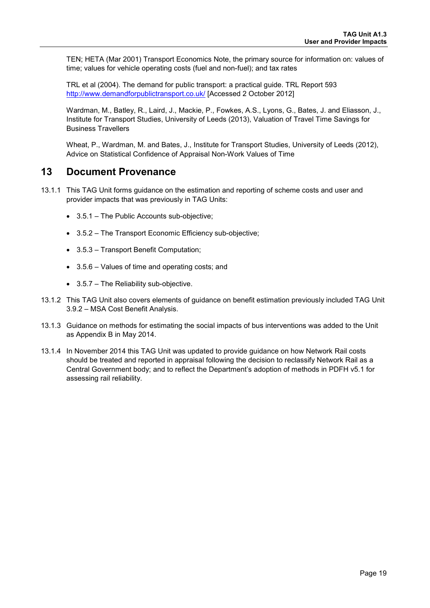TEN; HETA (Mar 2001) Transport Economics Note, the primary source for information on: values of time; values for vehicle operating costs (fuel and non-fuel); and tax rates

TRL et al (2004). The demand for public transport: a practical guide. TRL Report 593 <http://www.demandforpublictransport.co.uk/> [Accessed 2 October 2012]

Wardman, M., Batley, R., Laird, J., Mackie, P., Fowkes, A.S., Lyons, G., Bates, J. and Eliasson, J., Institute for Transport Studies, University of Leeds (2013), Valuation of Travel Time Savings for Business Travellers

Wheat, P., Wardman, M. and Bates, J., Institute for Transport Studies, University of Leeds (2012), Advice on Statistical Confidence of Appraisal Non-Work Values of Time

## <span id="page-20-0"></span>**13 Document Provenance**

- 13.1.1 This TAG Unit forms guidance on the estimation and reporting of scheme costs and user and provider impacts that was previously in TAG Units:
	- 3.5.1 The Public Accounts sub-objective;
	- 3.5.2 The Transport Economic Efficiency sub-objective;
	- 3.5.3 Transport Benefit Computation;
	- 3.5.6 Values of time and operating costs; and
	- 3.5.7 The Reliability sub-objective.
- 13.1.2 This TAG Unit also covers elements of guidance on benefit estimation previously included TAG Unit 3.9.2 – MSA Cost Benefit Analysis.
- 13.1.3 Guidance on methods for estimating the social impacts of bus interventions was added to the Unit as Appendix B in May 2014.
- 13.1.4 In November 2014 this TAG Unit was updated to provide guidance on how Network Rail costs should be treated and reported in appraisal following the decision to reclassify Network Rail as a Central Government body; and to reflect the Department's adoption of methods in PDFH v5.1 for assessing rail reliability.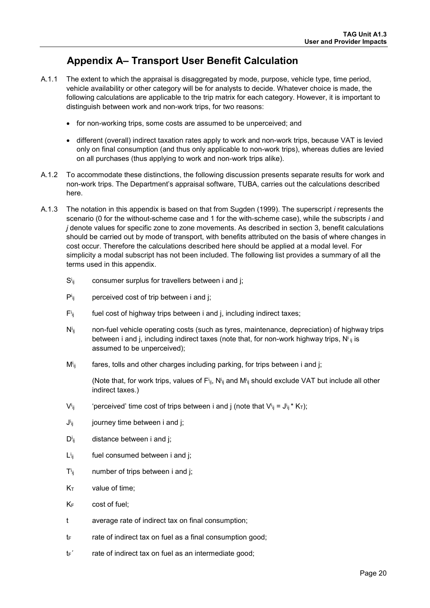## **Appendix A– Transport User Benefit Calculation**

- <span id="page-21-0"></span>A.1.1 The extent to which the appraisal is disaggregated by mode, purpose, vehicle type, time period, vehicle availability or other category will be for analysts to decide. Whatever choice is made, the following calculations are applicable to the trip matrix for each category. However, it is important to distinguish between work and non-work trips, for two reasons:
	- for non-working trips, some costs are assumed to be unperceived; and
	- different (overall) indirect taxation rates apply to work and non-work trips, because VAT is levied only on final consumption (and thus only applicable to non-work trips), whereas duties are levied on all purchases (thus applying to work and non-work trips alike).
- A.1.2 To accommodate these distinctions, the following discussion presents separate results for work and non-work trips. The Department's appraisal software, TUBA, carries out the calculations described here.
- A.1.3 The notation in this appendix is based on that from Sugden (1999). The superscript *i* represents the scenario (0 for the without-scheme case and 1 for the with-scheme case), while the subscripts *i* and *j* denote values for specific zone to zone movements. As described in section [3,](#page-4-0) benefit calculations should be carried out by mode of transport, with benefits attributed on the basis of where changes in cost occur. Therefore the calculations described here should be applied at a modal level. For simplicity a modal subscript has not been included. The following list provides a summary of all the terms used in this appendix.
	- $S<sub>ii</sub>$ consumer surplus for travellers between i and j;
	- Pi perceived cost of trip between i and i:
	- $F_{ii}$ fuel cost of highway trips between i and j, including indirect taxes;
	- Ni non-fuel vehicle operating costs (such as tyres, maintenance, depreciation) of highway trips between i and j, including indirect taxes (note that, for non-work highway trips,  $N^{i}{}_{ij}$  is assumed to be unperceived);
	- $M_{ii}$ fares, tolls and other charges including parking, for trips between i and j;

(Note that, for work trips, values of  $F_{ij}$ , N<sup>i</sup><sub>ij</sub> and M<sup>i</sup><sub>ij</sub> should exclude VAT but include all other indirect taxes.)

- $V^i$ ij  $\mathbf{j}_{ij}$  'perceived' time cost of trips between i and j (note that  $\mathsf{V}^{\mathsf{i}}{}_{ij}$  = J $^{\mathsf{i}}{}_{ij}$  \* K<sub>T</sub>);
- $J^{i}$ ij journey time between i and j;
- $D^{i}$ ii distance between i and j;
- Li fuel consumed between i and j;
- $T^i$ ii number of trips between i and j;
- $K<sub>T</sub>$  value of time;
- KF cost of fuel;
- t average rate of indirect tax on final consumption;
- $t_F$  rate of indirect tax on fuel as a final consumption good;
- $t_F$ <sup> $\cdot$ </sup> rate of indirect tax on fuel as an intermediate good;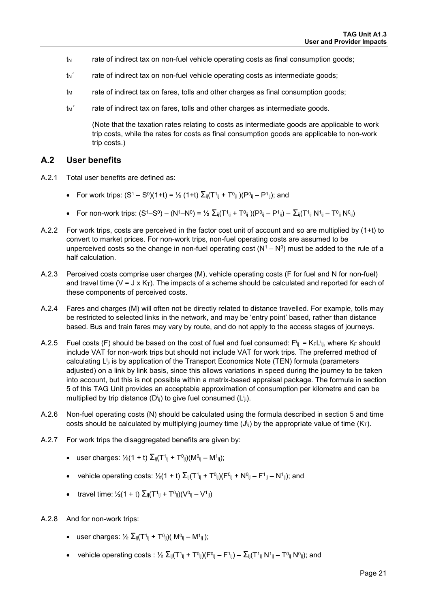- $t<sub>N</sub>$  rate of indirect tax on non-fuel vehicle operating costs as final consumption goods;
- $t_N$ <sup> $\ldots$ </sup> rate of indirect tax on non-fuel vehicle operating costs as intermediate goods;
- $t<sub>M</sub>$  rate of indirect tax on fares, tolls and other charges as final consumption goods;
- $t_M$ <sup> $\ldots$ </sup> rate of indirect tax on fares, tolls and other charges as intermediate goods.

(Note that the taxation rates relating to costs as intermediate goods are applicable to work trip costs, while the rates for costs as final consumption goods are applicable to non-work trip costs.)

#### **A.2 User benefits**

- A.2.1 Total user benefits are defined as:
	- For work trips:  $(S^1 S^0)(1+t) = \frac{1}{2}(1+t) \sum_{ii}(T^1_{ii} + T^0_{ii})(P^0_{ii} P^1_{ii})$ ; and
	- For non-work trips:  $(S^1 S^0) (N^1 N^0) = \frac{1}{2} \sum_{ii} (T^1_{ii} + T^0_{ii}) (P^0_{ii} P^1_{ii}) \sum_{ii} (T^1_{ii} N^1_{ii} T^0_{ii} N^0_{ii})$
- A.2.2 For work trips, costs are perceived in the factor cost unit of account and so are multiplied by (1+t) to convert to market prices. For non-work trips, non-fuel operating costs are assumed to be unperceived costs so the change in non-fuel operating cost  $(N^1 - N^0)$  must be added to the rule of a half calculation.
- A.2.3 Perceived costs comprise user charges (M), vehicle operating costs (F for fuel and N for non-fuel) and travel time ( $V = J \times K_T$ ). The impacts of a scheme should be calculated and reported for each of these components of perceived costs.
- A.2.4 Fares and charges (M) will often not be directly related to distance travelled. For example, tolls may be restricted to selected links in the network, and may be 'entry point' based, rather than distance based. Bus and train fares may vary by route, and do not apply to the access stages of journeys.
- A.2.5 Fuel costs (F) should be based on the cost of fuel and fuel consumed:  $F^{i_{ij}} = K_F L^{i_{ij}}$ , where K<sub>F</sub> should include VAT for non-work trips but should not include VAT for work trips. The preferred method of calculating L<sup>i</sup>ji is by application of the Transport Economics Note (TEN) formula (parameters adjusted) on a link by link basis, since this allows variations in speed during the journey to be taken into account, but this is not possible within a matrix-based appraisal package. The formula in section [5](#page-11-1) of this TAG Unit provides an acceptable approximation of consumption per kilometre and can be multiplied by trip distance (D<sup>i</sup>ij) to give fuel consumed (L<sup>i</sup>ii).
- A.2.6 Non-fuel operating costs (N) should be calculated using the formula described in section [5](#page-11-1) and time costs should be calculated by multiplying journey time (J<sup>i</sup>j) by the appropriate value of time (K<sub>T</sub>).
- A.2.7 For work trips the disaggregated benefits are given by:
	- user charges:  $\frac{1}{2}(1 + t) \sum_{i} (T^{1} + T^{0}i) (M^{0}i M^{1}i)$ ;
	- vehicle operating costs:  $\frac{1}{2}(1 + t) \sum_{ij} (T_{ij} + T_{ij})(F_{ij} + N_{ij} F_{ij} N_{ij})$ ; and
	- travel time:  $\frac{1}{2}(1 + t) \sum_{ii} (T_{ii}^1 + T_{ii}^0) (V_{ii}^0 V_{ii}^1)$
- A.2.8 And for non-work trips:
	- user charges:  $\frac{1}{2} \sum_{ii} (T^{1}_{ii} + T^{0}_{ii}) (M^{0}_{ii} M^{1}_{ii})$ ;
	- vehicle operating costs :  $\frac{1}{2} \sum_{ii} (T_{ii}^1 + T_{ii})(F_{ii}^0 F_{ii}^1) \sum_{ii} (T_{ii}^1 N_{ii}^1 T_{ii}^0 N_{ii}^0)$ ; and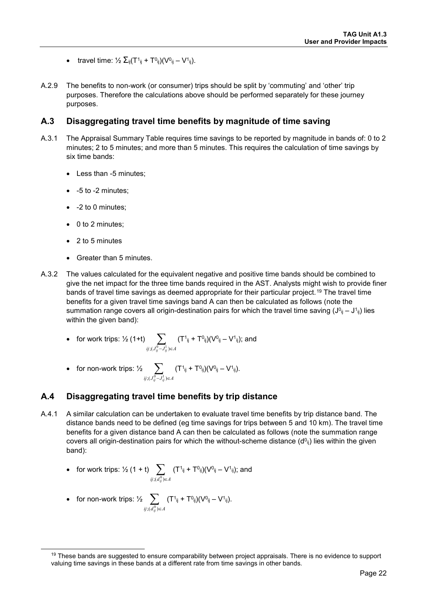- travel time:  $\frac{1}{2} \sum_{ii} (T^1_{ii} + T^0_{ii}) (V^0_{ii} V^1_{ii}).$
- A.2.9 The benefits to non-work (or consumer) trips should be split by 'commuting' and 'other' trip purposes. Therefore the calculations above should be performed separately for these journey purposes.

#### **A.3 Disaggregating travel time benefits by magnitude of time saving**

- A.3.1 The Appraisal Summary Table requires time savings to be reported by magnitude in bands of: 0 to 2 minutes; 2 to 5 minutes; and more than 5 minutes. This requires the calculation of time savings by six time bands:
	- Less than -5 minutes;
	- -5 to -2 minutes;
	- -2 to 0 minutes;
	- 0 to 2 minutes;
	- 2 to 5 minutes
	- Greater than 5 minutes.
- A.3.2 The values calculated for the equivalent negative and positive time bands should be combined to give the net impact for the three time bands required in the AST. Analysts might wish to provide finer bands of travel time savings as deemed appropriate for their particular project.<sup>[19](#page-23-0)</sup> The travel time benefits for a given travel time savings band A can then be calculated as follows (note the summation range covers all origin-destination pairs for which the travel time saving  $(J^{0}ij - J^{1}ij)$  lies within the given band):
	- for work trips: ½ (1+t)  $\sum$   $(T^1_{ij} + T^0_{ij})(V^0_{ij} V^1_{ij})$ ; and *ij* ;( $J_{ij}^0$ − $J_{ij}^1$ )∈ A
	- for non-work trips:  $\frac{1}{2}$   $\sum$ *ij* ;( $J_{ij}^0$ − $J_{ij}^1$ )∈ A  $(T<sup>1</sup>_{ij} + T<sup>0</sup>_{ij})(V<sup>0</sup>_{ij} - V<sup>1</sup>_{ij}).$

## **A.4 Disaggregating travel time benefits by trip distance**

A.4.1 A similar calculation can be undertaken to evaluate travel time benefits by trip distance band. The distance bands need to be defined (eg time savings for trips between 5 and 10 km). The travel time benefits for a given distance band A can then be calculated as follows (note the summation range covers all origin-destination pairs for which the without-scheme distance  $(d^{0}_{ij})$  lies within the given band):

• for work trips: 
$$
\frac{1}{2}(1 + t) \sum_{ij; (d_{ij}^{(0)}) \in A} (T^{1}_{ij} + T^{0}_{ij})(V^{0}_{ij} - V^{1}_{ij});
$$
 and

• for non-work trips: 
$$
\frac{1}{2} \sum_{ij; (d_{ij}^0) \in A} (T^1_{ij} + T^0_{ij})(V^0_{ij} - V^1_{ij}).
$$

<span id="page-23-0"></span><sup>&</sup>lt;sup>19</sup> These bands are suggested to ensure comparability between project appraisals. There is no evidence to support valuing time savings in these bands at a different rate from time savings in other bands.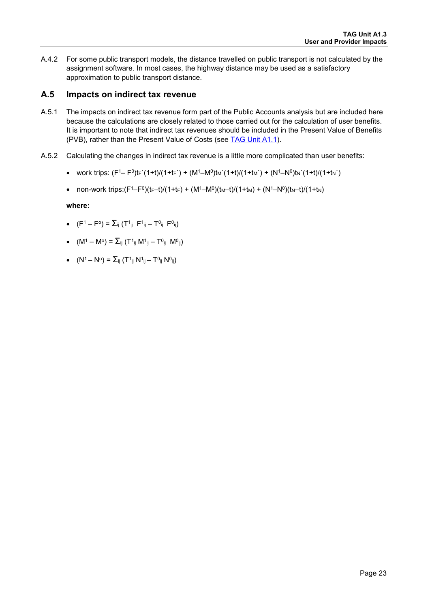A.4.2 For some public transport models, the distance travelled on public transport is not calculated by the assignment software. In most cases, the highway distance may be used as a satisfactory approximation to public transport distance.

## <span id="page-24-0"></span>**A.5 Impacts on indirect tax revenue**

- A.5.1 The impacts on indirect tax revenue form part of the Public Accounts analysis but are included here because the calculations are closely related to those carried out for the calculation of user benefits. It is important to note that indirect tax revenues should be included in the Present Value of Benefits (PVB), rather than the Present Value of Costs (see [TAG Unit A1.1\)](https://www.gov.uk/transport-analysis-guidance-webtag#a1-cost-benefit-analysis).
- A.5.2 Calculating the changes in indirect tax revenue is a little more complicated than user benefits:
	- work trips:  $(F^1 F^0)t_F'(1+t)/(1+t_F') + (M^1 M^0)t_M'(1+t)/(1+t_M') + (N^1 N^0)t_N'(1+t)/(1+t_N')$
	- non-work trips: $(F^1 F^0)(t_F t)/(1 + t_F) + (M^1 M^0)(t_M t)/(1 + t_M) + (N^1 N^0)(t_N t)/(1 + t_N)$

**where:** 

- $(F^1 F^0) = \sum_{i,j} (T^1_{ij} F^1_{ij} T^0_{ij} F^0_{ij})$
- $(M^1 M^{\circ}) = \sum_{ii} (T^1_{ii} M^1_{ii} T^0_{ii} M^0_{ii})$
- $(N^1 N^{\circ}) = \sum_{i} (T^1_{ii} N^1_{ii} T^0_{ii} N^0_{ii})$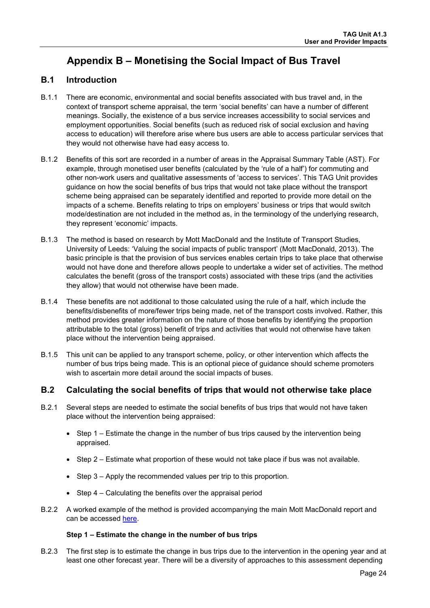## <span id="page-25-0"></span>**Appendix B – Monetising the Social Impact of Bus Travel**

## **B.1 Introduction**

- B.1.1 There are economic, environmental and social benefits associated with bus travel and, in the context of transport scheme appraisal, the term 'social benefits' can have a number of different meanings. Socially, the existence of a bus service increases accessibility to social services and employment opportunities. Social benefits (such as reduced risk of social exclusion and having access to education) will therefore arise where bus users are able to access particular services that they would not otherwise have had easy access to.
- B.1.2 Benefits of this sort are recorded in a number of areas in the Appraisal Summary Table (AST). For example, through monetised user benefits (calculated by the 'rule of a half') for commuting and other non-work users and qualitative assessments of 'access to services'. This TAG Unit provides guidance on how the social benefits of bus trips that would not take place without the transport scheme being appraised can be separately identified and reported to provide more detail on the impacts of a scheme. Benefits relating to trips on employers' business or trips that would switch mode/destination are not included in the method as, in the terminology of the underlying research, they represent 'economic' impacts.
- B.1.3 The method is based on research by Mott MacDonald and the Institute of Transport Studies, University of Leeds: 'Valuing the social impacts of public transport' (Mott MacDonald, 2013). The basic principle is that the provision of bus services enables certain trips to take place that otherwise would not have done and therefore allows people to undertake a wider set of activities. The method calculates the benefit (gross of the transport costs) associated with these trips (and the activities they allow) that would not otherwise have been made.
- B.1.4 These benefits are not additional to those calculated using the rule of a half, which include the benefits/disbenefits of more/fewer trips being made, net of the transport costs involved. Rather, this method provides greater information on the nature of those benefits by identifying the proportion attributable to the total (gross) benefit of trips and activities that would not otherwise have taken place without the intervention being appraised.
- B.1.5 This unit can be applied to any transport scheme, policy, or other intervention which affects the number of bus trips being made. This is an optional piece of guidance should scheme promoters wish to ascertain more detail around the social impacts of buses.

## **B.2 Calculating the social benefits of trips that would not otherwise take place**

- B.2.1 Several steps are needed to estimate the social benefits of bus trips that would not have taken place without the intervention being appraised:
	- Step 1 Estimate the change in the number of bus trips caused by the intervention being appraised.
	- Step 2 Estimate what proportion of these would not take place if bus was not available.
	- Step 3 Apply the recommended values per trip to this proportion.
	- Step 4 Calculating the benefits over the appraisal period
- B.2.2 A worked example of the method is provided accompanying the main Mott MacDonald report and can be accessed [here.](https://www.gov.uk/government/uploads/system/uploads/attachment_data/file/226804/how-to-calculate-social-benefits.pdf)

#### **Step 1 – Estimate the change in the number of bus trips**

B.2.3 The first step is to estimate the change in bus trips due to the intervention in the opening year and at least one other forecast year. There will be a diversity of approaches to this assessment depending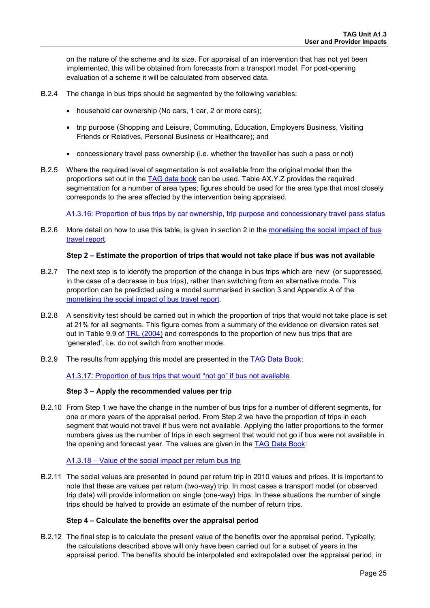on the nature of the scheme and its size. For appraisal of an intervention that has not yet been implemented, this will be obtained from forecasts from a transport model. For post-opening evaluation of a scheme it will be calculated from observed data.

- B.2.4 The change in bus trips should be segmented by the following variables:
	- household car ownership (No cars, 1 car, 2 or more cars);
	- trip purpose (Shopping and Leisure, Commuting, Education, Employers Business, Visiting Friends or Relatives, Personal Business or Healthcare); and
	- concessionary travel pass ownership (i.e. whether the traveller has such a pass or not)
- B.2.5 Where the required level of segmentation is not available from the original model then the proportions set out in the [TAG data book](https://www.gov.uk/transport-analysis-guidance-webtag#webtag-data-book) can be used. Table AX.Y.Z provides the required segmentation for a number of area types; figures should be used for the area type that most closely corresponds to the area affected by the intervention being appraised.

[A1.3.16: Proportion of bus trips by car ownership, trip purpose and concessionary travel pass status](https://www.gov.uk/transport-analysis-guidance-webtag#webtag-data-book)

B.2.6 More detail on how to use this table, is given in section 2 in the [monetising the social impact of bus](https://www.gov.uk/government/uploads/system/uploads/attachment_data/file/226804/how-to-calculate-social-benefits.pdf)  [travel report.](https://www.gov.uk/government/uploads/system/uploads/attachment_data/file/226804/how-to-calculate-social-benefits.pdf)

#### **Step 2 – Estimate the proportion of trips that would not take place if bus was not available**

- B.2.7 The next step is to identify the proportion of the change in bus trips which are 'new' (or suppressed, in the case of a decrease in bus trips), rather than switching from an alternative mode. This proportion can be predicted using a model summarised in section 3 and Appendix A of the [monetising the social impact of bus travel report.](https://www.gov.uk/government/uploads/system/uploads/attachment_data/file/226804/how-to-calculate-social-benefits.pdf)
- B.2.8 A sensitivity test should be carried out in which the proportion of trips that would not take place is set at 21% for all segments. This figure comes from a summary of the evidence on diversion rates set out in Table 9.9 of [TRL \(2004\)](http://eprints.ucl.ac.uk/1349/1/2004_42.pdf) and corresponds to the proportion of new bus trips that are 'generated', i.e. do not switch from another mode.
- B.2.9 The results from applying this model are presented in the [TAG Data Book:](https://www.gov.uk/transport-analysis-guidance-webtag#webtag-data-book)

[A1.3.17: Proportion of bus trips that would "not go" if bus not available](https://www.gov.uk/transport-analysis-guidance-webtag#webtag-data-book)

#### **Step 3 – Apply the recommended values per trip**

B.2.10 From Step 1 we have the change in the number of bus trips for a number of different segments, for one or more years of the appraisal period. From Step 2 we have the proportion of trips in each segment that would not travel if bus were not available. Applying the latter proportions to the former numbers gives us the number of trips in each segment that would not go if bus were not available in the opening and forecast year. The values are given in the [TAG Data Book:](https://www.gov.uk/transport-analysis-guidance-webtag#webtag-data-book)

#### [A1.3.18 – Value of the social impact per return bus trip](https://www.gov.uk/transport-analysis-guidance-webtag#webtag-data-book)

B.2.11 The social values are presented in pound per return trip in 2010 values and prices. It is important to note that these are values per return (two-way) trip. In most cases a transport model (or observed trip data) will provide information on single (one-way) trips. In these situations the number of single trips should be halved to provide an estimate of the number of return trips.

#### **Step 4 – Calculate the benefits over the appraisal period**

B.2.12 The final step is to calculate the present value of the benefits over the appraisal period. Typically, the calculations described above will only have been carried out for a subset of years in the appraisal period. The benefits should be interpolated and extrapolated over the appraisal period, in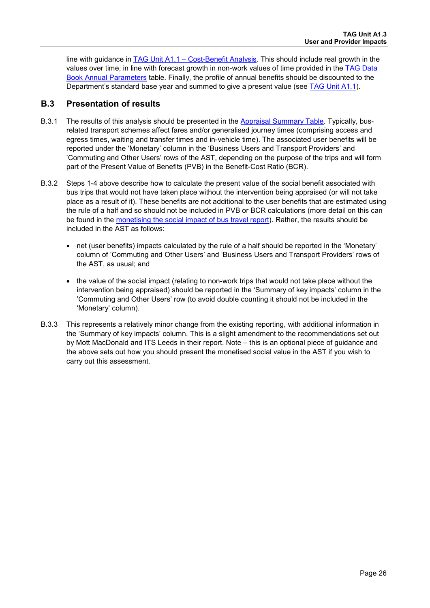line with guidance in [TAG Unit A1.1 – Cost-Benefit Analysis.](https://www.gov.uk/transport-analysis-guidance-webtag#a1-cost-benefit-analysis) This should include real growth in the values over time, in line with forecast growth in non-work values of time provided in the [TAG Data](https://www.gov.uk/transport-analysis-guidance-webtag#webtag-data-book)  [Book Annual Parameters](https://www.gov.uk/transport-analysis-guidance-webtag#webtag-data-book) table. Finally, the profile of annual benefits should be discounted to the Department's standard base year and summed to give a present value (see [TAG Unit A1.1\)](https://www.gov.uk/transport-analysis-guidance-webtag#a1-cost-benefit-analysis).

### **B.3 Presentation of results**

- B.3.1 The results of this analysis should be presented in the [Appraisal Summary Table.](https://www.gov.uk/government/publications/webtag-appraisal-tables) Typically, busrelated transport schemes affect fares and/or generalised journey times (comprising access and egress times, waiting and transfer times and in-vehicle time). The associated user benefits will be reported under the 'Monetary' column in the 'Business Users and Transport Providers' and 'Commuting and Other Users' rows of the AST, depending on the purpose of the trips and will form part of the Present Value of Benefits (PVB) in the Benefit-Cost Ratio (BCR).
- B.3.2 Steps 1-4 above describe how to calculate the present value of the social benefit associated with bus trips that would not have taken place without the intervention being appraised (or will not take place as a result of it). These benefits are not additional to the user benefits that are estimated using the rule of a half and so should not be included in PVB or BCR calculations (more detail on this can be found in the [monetising the social impact of bus travel report\)](https://www.gov.uk/government/uploads/system/uploads/attachment_data/file/226804/how-to-calculate-social-benefits.pdf). Rather, the results should be included in the AST as follows:
	- net (user benefits) impacts calculated by the rule of a half should be reported in the 'Monetary' column of 'Commuting and Other Users' and 'Business Users and Transport Providers' rows of the AST, as usual; and
	- the value of the social impact (relating to non-work trips that would not take place without the intervention being appraised) should be reported in the 'Summary of key impacts' column in the 'Commuting and Other Users' row (to avoid double counting it should not be included in the 'Monetary' column).
- B.3.3 This represents a relatively minor change from the existing reporting, with additional information in the 'Summary of key impacts' column. This is a slight amendment to the recommendations set out by Mott MacDonald and ITS Leeds in their report. Note – this is an optional piece of guidance and the above sets out how you should present the monetised social value in the AST if you wish to carry out this assessment.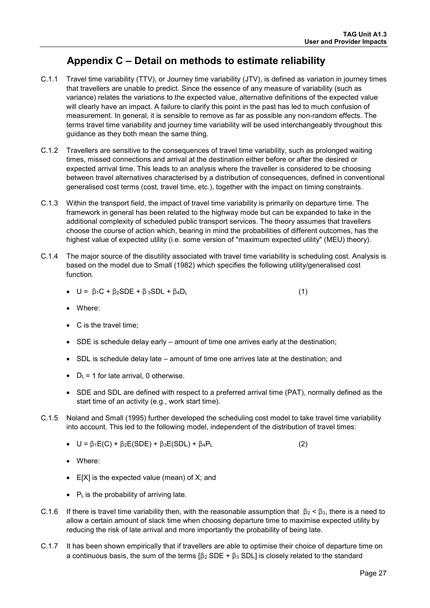## <span id="page-28-0"></span>**Appendix C – Detail on methods to estimate reliability**

- C.1.1 Travel time variability (TTV), or Journey time variability (JTV), is defined as variation in journey times that travellers are unable to predict. Since the essence of any measure of variability (such as variance) relates the variations to the expected value, alternative definitions of the expected value will clearly have an impact. A failure to clarify this point in the past has led to much confusion of measurement. In general, it is sensible to remove as far as possible any non-random effects. The terms travel time variability and journey time variability will be used interchangeably throughout this guidance as they both mean the same thing.
- C.1.2 Travellers are sensitive to the consequences of travel time variability, such as prolonged waiting times, missed connections and arrival at the destination either before or after the desired or expected arrival time. This leads to an analysis where the traveller is considered to be choosing between travel alternatives characterised by a distribution of consequences, defined in conventional generalised cost terms (cost, travel time, etc.), together with the impact on timing constraints.
- C.1.3 Within the transport field, the impact of travel time variability is primarily on departure time. The framework in general has been related to the highway mode but can be expanded to take in the additional complexity of scheduled public transport services. The theory assumes that travellers choose the course of action which, bearing in mind the probabilities of different outcomes, has the highest value of expected utility (i.e. some version of "maximum expected utility" (MEU) theory).
- C.1.4 The major source of the disutility associated with travel time variability is scheduling cost. Analysis is based on the model due to Small (1982) which specifies the following utility/generalised cost function.
	- $U = \beta_1 C + \beta_2 SDE + \beta_3 SDL + \beta_4 D_L$  (1)
	- Where:
	- C is the travel time;
	- SDE is schedule delay early amount of time one arrives early at the destination;
	- SDL is schedule delay late amount of time one arrives late at the destination; and
	- $D_L = 1$  for late arrival, 0 otherwise.
	- SDE and SDL are defined with respect to a preferred arrival time (PAT), normally defined as the start time of an activity (e.g., work start time).
- C.1.5 Noland and Small (1995) further developed the scheduling cost model to take travel time variability into account. This led to the following model, independent of the distribution of travel times:
	- $U = \beta_1 E(C) + \beta_2 E(SDE) + \beta_3 E(SDL) + \beta_4 P_L$  (2)
	- Where:
	- E[X] is the expected value (mean) of X; and
	- PL is the probability of arriving late.
- C.1.6 If there is travel time variability then, with the reasonable assumption that  $\beta_2 < \beta_3$ , there is a need to allow a certain amount of slack time when choosing departure time to maximise expected utility by reducing the risk of late arrival and more importantly the probability of being late.
- C.1.7 It has been shown empirically that if travellers are able to optimise their choice of departure time on a continuous basis, the sum of the terms  $[\beta_2$  SDE +  $\beta_3$  SDL] is closely related to the standard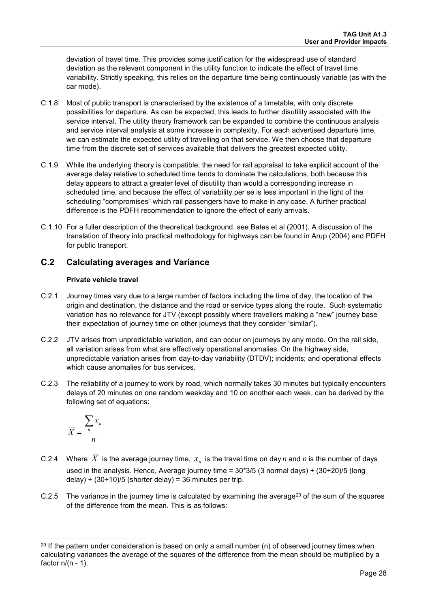deviation of travel time. This provides some justification for the widespread use of standard deviation as the relevant component in the utility function to indicate the effect of travel time variability. Strictly speaking, this relies on the departure time being continuously variable (as with the car mode).

- C.1.8 Most of public transport is characterised by the existence of a timetable, with only discrete possibilities for departure. As can be expected, this leads to further disutility associated with the service interval. The utility theory framework can be expanded to combine the continuous analysis and service interval analysis at some increase in complexity. For each advertised departure time, we can estimate the expected utility of travelling on that service. We then choose that departure time from the discrete set of services available that delivers the greatest expected utility.
- C.1.9 While the underlying theory is compatible, the need for rail appraisal to take explicit account of the average delay relative to scheduled time tends to dominate the calculations, both because this delay appears to attract a greater level of disutility than would a corresponding increase in scheduled time, and because the effect of variability per se is less important in the light of the scheduling "compromises" which rail passengers have to make in any case. A further practical difference is the PDFH recommendation to ignore the effect of early arrivals.
- C.1.10 For a fuller description of the theoretical background, see Bates et al (2001). A discussion of the translation of theory into practical methodology for highways can be found in Arup (2004) and PDFH for public transport.

## **C.2 Calculating averages and Variance**

#### **Private vehicle travel**

- C.2.1 Journey times vary due to a large number of factors including the time of day, the location of the origin and destination, the distance and the road or service types along the route. Such systematic variation has no relevance for JTV (except possibly where travellers making a "new" journey base their expectation of journey time on other journeys that they consider "similar").
- C.2.2 JTV arises from unpredictable variation, and can occur on journeys by any mode. On the rail side, all variation arises from what are effectively operational anomalies. On the highway side, unpredictable variation arises from day-to-day variability (DTDV); incidents; and operational effects which cause anomalies for bus services.
- C.2.3 The reliability of a journey to work by road, which normally takes 30 minutes but typically encounters delays of 20 minutes on one random weekday and 10 on another each week, can be derived by the following set of equations:

$$
\overline{X} = \frac{\sum_{n} x_n}{n}
$$

- C.2.4 Where  $\overline{X}$  is the average journey time,  $x_n$  is the travel time on day *n* and *n* is the number of days used in the analysis. Hence, Average journey time = 30\*3/5 (3 normal days) + (30+20)/5 (long delay) +  $(30+10)/5$  (shorter delay) = 36 minutes per trip.
- C.2.5 The variance in the journey time is calculated by examining the average<sup>[20](#page-29-0)</sup> of the sum of the squares of the difference from the mean. This is as follows:

<span id="page-29-0"></span><sup>-</sup> $20$  If the pattern under consideration is based on only a small number (n) of observed journey times when calculating variances the average of the squares of the difference from the mean should be multiplied by a factor  $n/(n - 1)$ .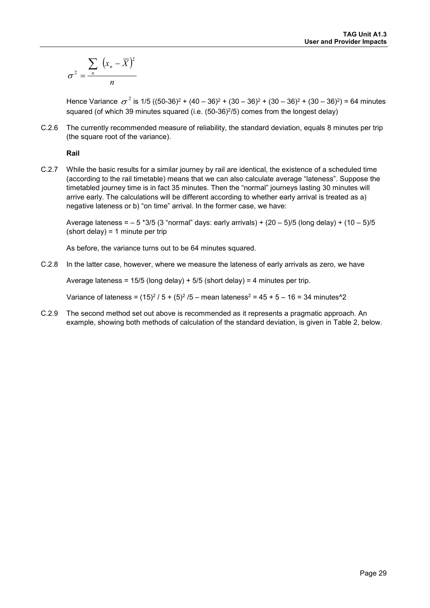$$
\sigma^2 = \frac{\sum_n (x_n - \overline{X})^2}{n}
$$

Hence Variance  $\sigma^2$  is 1/5 ((50-36)<sup>2</sup> + (40 – 36)<sup>2</sup> + (30 – 36)<sup>2</sup> + (30 – 36)<sup>2</sup> + (30 – 36)<sup>2</sup>) = 64 minutes squared (of which 39 minutes squared (i.e.  $(50-36)^2/5$ ) comes from the longest delay)

C.2.6 The currently recommended measure of reliability, the standard deviation, equals 8 minutes per trip (the square root of the variance).

#### **Rail**

C.2.7 While the basic results for a similar journey by rail are identical, the existence of a scheduled time (according to the rail timetable) means that we can also calculate average "lateness". Suppose the timetabled journey time is in fact 35 minutes. Then the "normal" journeys lasting 30 minutes will arrive early. The calculations will be different according to whether early arrival is treated as a) negative lateness or b) "on time" arrival. In the former case, we have:

Average lateness =  $-5$  \*3/5 (3 "normal" days: early arrivals) + (20  $-5$ )/5 (long delay) + (10  $-5$ )/5  $(short delay) = 1$  minute per trip

As before, the variance turns out to be 64 minutes squared.

C.2.8 In the latter case, however, where we measure the lateness of early arrivals as zero, we have

Average lateness =  $15/5$  (long delay) +  $5/5$  (short delay) = 4 minutes per trip.

Variance of lateness =  $(15)^2/5 + (5)^2/5$  – mean lateness<sup>2</sup> =  $45 + 5 - 16$  = 34 minutes<sup>2</sup>2

C.2.9 The second method set out above is recommended as it represents a pragmatic approach. An example, showing both methods of calculation of the standard deviation, is given in [Table 2,](#page-31-0) below.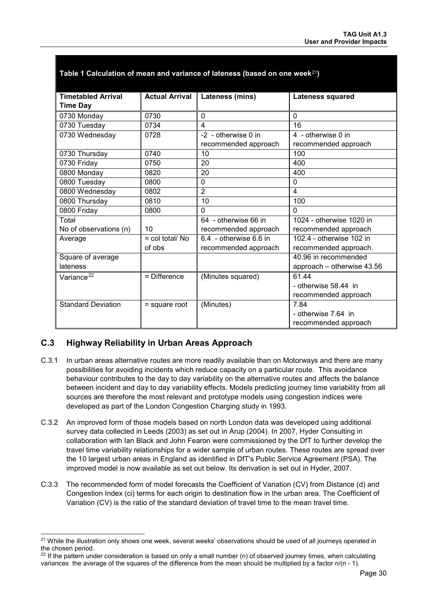| <b>Timetabled Arrival</b> | <b>Actual Arrival</b>           | Lateness (mins)        | <b>Lateness squared</b>    |
|---------------------------|---------------------------------|------------------------|----------------------------|
| <b>Time Day</b>           |                                 |                        |                            |
| 0730 Monday               | 0730                            | $\Omega$               | $\Omega$                   |
| 0730 Tuesday              | 0734                            | $\overline{4}$         | 16                         |
| 0730 Wednesday            | 0728                            | -2 - otherwise 0 in    | 4 - otherwise 0 in         |
|                           |                                 | recommended approach   | recommended approach       |
| 0730 Thursday             | 0740                            | 10                     | 100                        |
| 0730 Friday               | 0750                            | 20                     | 400                        |
| 0800 Monday               | 0820                            | 20                     | 400                        |
| 0800 Tuesday              | 0800                            | $\Omega$               | $\overline{0}$             |
| 0800 Wednesday            | 0802                            | $\overline{2}$         | 4                          |
| 0800 Thursday             | 0810                            | 10                     | 100                        |
| 0800 Friday               | 0800                            | $\Omega$               | $\Omega$                   |
| Total                     |                                 | 64 - otherwise 66 in   | 1024 - otherwise 1020 in   |
| No of observations (n)    | 10                              | recommended approach   | recommended approach       |
| Average                   | $=$ col total/ $\overline{N}$ o | 6.4 - otherwise 6.6 in | 102.4 - otherwise 102 in   |
|                           | of obs                          | recommended approach   | recommended approach.      |
| Square of average         |                                 |                        | 40.96 in recommended       |
| lateness                  |                                 |                        | approach - otherwise 43.56 |
| Variance <sup>22</sup>    | $=$ Difference                  | (Minutes squared)      | 61.44                      |
|                           |                                 |                        | - otherwise 58.44 in       |
|                           |                                 |                        | recommended approach       |
| <b>Standard Deviation</b> | $=$ square root                 | (Minutes)              | 7.84                       |
|                           |                                 |                        | - otherwise 7.64 in        |
|                           |                                 |                        | recommended approach       |

#### <span id="page-31-0"></span>**Table 1 Calculation of mean and variance of lateness (based on one week**[21](#page-31-1)**)**

## **C.3 Highway Reliability in Urban Areas Approach**

-

- C.3.1 In urban areas alternative routes are more readily available than on Motorways and there are many possibilities for avoiding incidents which reduce capacity on a particular route. This avoidance behaviour contributes to the day to day variability on the alternative routes and affects the balance between incident and day to day variability effects. Models predicting journey time variability from all sources are therefore the most relevant and prototype models using congestion indices were developed as part of the London Congestion Charging study in 1993.
- C.3.2 An improved form of those models based on north London data was developed using additional survey data collected in Leeds (2003) as set out in Arup (2004). In 2007, Hyder Consulting in collaboration with Ian Black and John Fearon were commissioned by the DfT to further develop the travel time variability relationships for a wider sample of urban routes. These routes are spread over the 10 largest urban areas in England as identified in DfT's Public Service Agreement (PSA). The improved model is now available as set out below. Its derivation is set out in Hyder, 2007.
- C.3.3 The recommended form of model forecasts the Coefficient of Variation (CV) from Distance (d) and Congestion Index (ci) terms for each origin to destination flow in the urban area. The Coefficient of Variation (CV) is the ratio of the standard deviation of travel time to the mean travel time.

<span id="page-31-1"></span><sup>&</sup>lt;sup>21</sup> While the illustration only shows one week, several weeks' observations should be used of all journeys operated in the chosen period.

<span id="page-31-2"></span> $22$  If the pattern under consideration is based on only a small number (n) of observed journey times, when calculating variances the average of the squares of the difference from the mean should be multiplied by a factor n/(n - 1).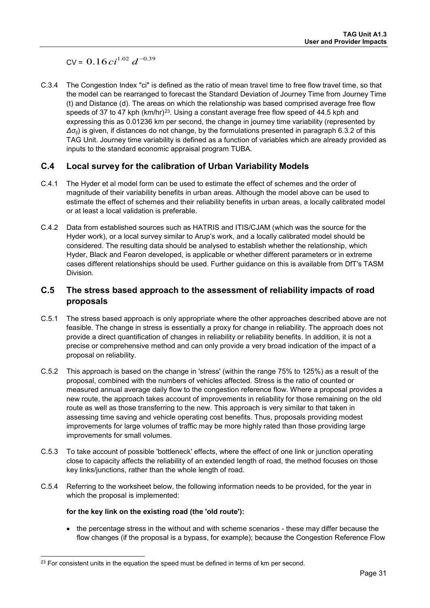$CV = 0.16ci^{1.02} d^{-0.39}$ 

C.3.4 The Congestion Index "ci" is defined as the ratio of mean travel time to free flow travel time, so that the model can be rearranged to forecast the Standard Deviation of Journey Time from Journey Time (t) and Distance (d). The areas on which the relationship was based comprised average free flow speeds of 37 to 47 kph ( $km/hr$ )<sup>[23](#page-32-1)</sup>. Using a constant average free flow speed of 44.5 kph and expressing this as 0.01236 km per second, the change in journey time variability (represented by *Δσij*) is given, if distances do not change, by the formulations presented in paragraph [6.3.2](#page-14-2) of this TAG Unit. Journey time variability is defined as a function of variables which are already provided as inputs to the standard economic appraisal program TUBA.

## **C.4 Local survey for the calibration of Urban Variability Models**

- C.4.1 The Hyder et al model form can be used to estimate the effect of schemes and the order of magnitude of their variability benefits in urban areas. Although the model above can be used to estimate the effect of schemes and their reliability benefits in urban areas, a locally calibrated model or at least a local validation is preferable.
- C.4.2 Data from established sources such as HATRIS and ITIS/CJAM (which was the source for the Hyder work), or a local survey similar to Arup's work, and a locally calibrated model should be considered. The resulting data should be analysed to establish whether the relationship, which Hyder, Black and Fearon developed, is applicable or whether different parameters or in extreme cases different relationships should be used. Further guidance on this is available from DfT's TASM Division.

## <span id="page-32-0"></span>**C.5 The stress based approach to the assessment of reliability impacts of road proposals**

- C.5.1 The stress based approach is only appropriate where the other approaches described above are not feasible. The change in stress is essentially a proxy for change in reliability. The approach does not provide a direct quantification of changes in reliability or reliability benefits. In addition, it is not a precise or comprehensive method and can only provide a very broad indication of the impact of a proposal on reliability.
- C.5.2 This approach is based on the change in 'stress' (within the range 75% to 125%) as a result of the proposal, combined with the numbers of vehicles affected. Stress is the ratio of counted or measured annual average daily flow to the congestion reference flow. Where a proposal provides a new route, the approach takes account of improvements in reliability for those remaining on the old route as well as those transferring to the new. This approach is very similar to that taken in assessing time saving and vehicle operating cost benefits. Thus, proposals providing modest improvements for large volumes of traffic may be more highly rated than those providing large improvements for small volumes.
- C.5.3 To take account of possible 'bottleneck' effects, where the effect of one link or junction operating close to capacity affects the reliability of an extended length of road, the method focuses on those key links/junctions, rather than the whole length of road.
- C.5.4 Referring to the worksheet below, the following information needs to be provided, for the year in which the proposal is implemented:

#### **for the key link on the existing road (the 'old route'):**

• the percentage stress in the without and with scheme scenarios - these may differ because the flow changes (if the proposal is a bypass, for example); because the Congestion Reference Flow

<span id="page-32-1"></span><sup>-</sup><sup>23</sup> For consistent units in the equation the speed must be defined in terms of km per second.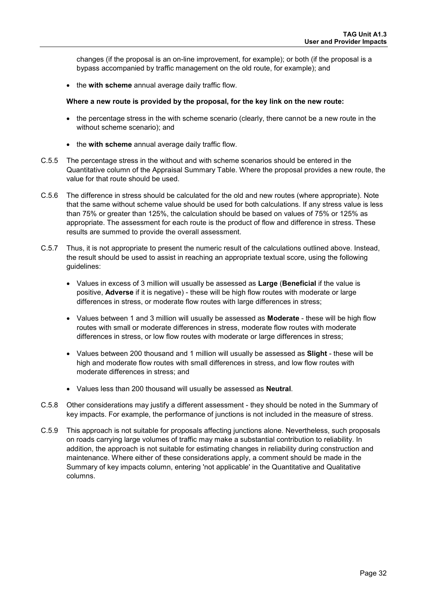changes (if the proposal is an on-line improvement, for example); or both (if the proposal is a bypass accompanied by traffic management on the old route, for example); and

• the **with scheme** annual average daily traffic flow.

#### **Where a new route is provided by the proposal, for the key link on the new route:**

- the percentage stress in the with scheme scenario (clearly, there cannot be a new route in the without scheme scenario); and
- the **with scheme** annual average daily traffic flow.
- C.5.5 The percentage stress in the without and with scheme scenarios should be entered in the Quantitative column of the Appraisal Summary Table. Where the proposal provides a new route, the value for that route should be used.
- C.5.6 The difference in stress should be calculated for the old and new routes (where appropriate). Note that the same without scheme value should be used for both calculations. If any stress value is less than 75% or greater than 125%, the calculation should be based on values of 75% or 125% as appropriate. The assessment for each route is the product of flow and difference in stress. These results are summed to provide the overall assessment.
- C.5.7 Thus, it is not appropriate to present the numeric result of the calculations outlined above. Instead, the result should be used to assist in reaching an appropriate textual score, using the following guidelines:
	- Values in excess of 3 million will usually be assessed as **Large** (**Beneficial** if the value is positive, **Adverse** if it is negative) - these will be high flow routes with moderate or large differences in stress, or moderate flow routes with large differences in stress;
	- Values between 1 and 3 million will usually be assessed as **Moderate** these will be high flow routes with small or moderate differences in stress, moderate flow routes with moderate differences in stress, or low flow routes with moderate or large differences in stress;
	- Values between 200 thousand and 1 million will usually be assessed as **Slight** these will be high and moderate flow routes with small differences in stress, and low flow routes with moderate differences in stress; and
	- Values less than 200 thousand will usually be assessed as **Neutral**.
- C.5.8 Other considerations may justify a different assessment they should be noted in the Summary of key impacts. For example, the performance of junctions is not included in the measure of stress.
- C.5.9 This approach is not suitable for proposals affecting junctions alone. Nevertheless, such proposals on roads carrying large volumes of traffic may make a substantial contribution to reliability. In addition, the approach is not suitable for estimating changes in reliability during construction and maintenance. Where either of these considerations apply, a comment should be made in the Summary of key impacts column, entering 'not applicable' in the Quantitative and Qualitative columns.